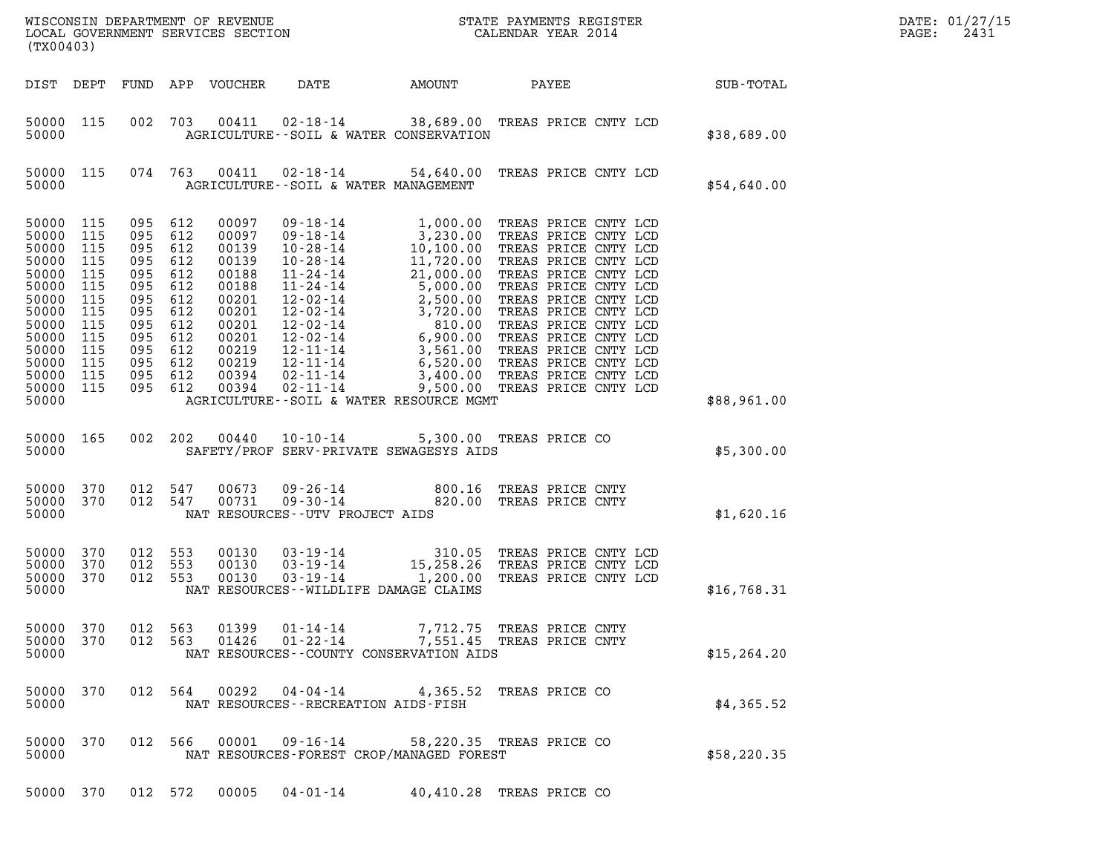| $\tt WISCONSIM$ DEPARTMENT OF REVENUE $\tt WISCONSIMENT$ STATE PAYMENTS REGISTER LOCAL GOVERNMENT SERVICES SECTION $\tt CALENDAR$ YEAR 2014<br>(TX00403) |                                                                                                            |                                               |                                                                                                                            |                                                                                                                            |                                                               |                                                                                                                                                                                                                                                                                                 |       |                                                                      |  | DATE: 01/27/15<br>2431<br>PAGE: |  |
|----------------------------------------------------------------------------------------------------------------------------------------------------------|------------------------------------------------------------------------------------------------------------|-----------------------------------------------|----------------------------------------------------------------------------------------------------------------------------|----------------------------------------------------------------------------------------------------------------------------|---------------------------------------------------------------|-------------------------------------------------------------------------------------------------------------------------------------------------------------------------------------------------------------------------------------------------------------------------------------------------|-------|----------------------------------------------------------------------|--|---------------------------------|--|
|                                                                                                                                                          | DIST DEPT                                                                                                  |                                               |                                                                                                                            | FUND APP VOUCHER                                                                                                           |                                                               | DATE AMOUNT                                                                                                                                                                                                                                                                                     | PAYEE |                                                                      |  | SUB-TOTAL                       |  |
| 50000                                                                                                                                                    | 50000 115                                                                                                  | 002                                           |                                                                                                                            | 703 00411                                                                                                                  |                                                               | 02-18-14 38,689.00 TREAS PRICE CNTY LCD<br>AGRICULTURE--SOIL & WATER CONSERVATION                                                                                                                                                                                                               |       |                                                                      |  | \$38,689.00                     |  |
| 50000                                                                                                                                                    | 50000 115                                                                                                  |                                               | 074 763                                                                                                                    | 00411                                                                                                                      |                                                               | 02-18-14 54,640.00 TREAS PRICE CNTY LCD<br>AGRICULTURE--SOIL & WATER MANAGEMENT                                                                                                                                                                                                                 |       |                                                                      |  | \$54,640.00                     |  |
| 50000<br>50000<br>50000<br>50000<br>50000<br>50000<br>50000<br>50000<br>50000<br>50000<br>50000<br>50000<br>50000                                        | 50000 115<br>115<br>115<br>115<br>115<br>115<br>115<br>115<br>115<br>115<br>115<br>115<br>115<br>50000 115 | 095<br>095<br>095<br>095<br>095<br>095<br>095 | 095 612<br>612<br>095 612<br>612<br>612<br>612<br>612<br>612<br>095 612<br>612<br>095 612<br>095 612<br>095 612<br>095 612 | 00097<br>00097<br>00139<br>00139<br>00188<br>00188<br>00201<br>00201<br>00201<br>00201<br>00219<br>00219<br>00394<br>00394 | 09-18-14                                                      | 1,000.00<br>09-18-14 1,000.00 TREAS PRICE CNTY LCD<br>09-18-14 3,230.00 TREAS PRICE CNTY LCD<br>10-28-14 10,100.00 TREAS PRICE CNTY LCD<br>10-28-14 11,720.00 TREAS PRICE CNTY LCD<br>11-24-14 5,000.00 TREAS PRICE CNTY LCD<br>12-02-14 2,500.00 TR<br>AGRICULTURE--SOIL & WATER RESOURCE MGMT |       | TREAS PRICE CNTY LCD                                                 |  | \$88,961.00                     |  |
| 50000                                                                                                                                                    | 50000 165                                                                                                  |                                               | 002 202                                                                                                                    | 00440                                                                                                                      |                                                               | 10-10-14 5,300.00 TREAS PRICE CO<br>SAFETY/PROF SERV-PRIVATE SEWAGESYS AIDS                                                                                                                                                                                                                     |       |                                                                      |  | \$5,300.00                      |  |
| 50000                                                                                                                                                    | 50000 370<br>50000 370                                                                                     | 012                                           | 547<br>012 547                                                                                                             | 00673<br>00731                                                                                                             | 09-26-14<br>$09 - 30 - 14$<br>NAT RESOURCES--UTV PROJECT AIDS | 800.16<br>820.00 TREAS PRICE CNTY                                                                                                                                                                                                                                                               |       | TREAS PRICE CNTY                                                     |  | \$1,620.16                      |  |
| 50000<br>50000<br>50000                                                                                                                                  | 50000 370<br>370<br>370                                                                                    |                                               | 012 553<br>012 553<br>012 553                                                                                              | 00130<br>00130<br>00130                                                                                                    |                                                               | 03 - 19 - 14 310 . 05<br>03 - 19 - 14 15 , 258 . 26<br>03 - 19 - 14 1, 200 . 00<br>NAT RESOURCES - WILDLIFE DAMAGE CLAIMS                                                                                                                                                                       |       | TREAS PRICE CNTY LCD<br>TREAS PRICE CNTY LCD<br>TREAS PRICE CNTY LCD |  | \$16,768.31                     |  |
| 50000                                                                                                                                                    | 50000 370<br>50000 370                                                                                     | 012                                           | 012 563<br>563                                                                                                             | 01399<br>01426                                                                                                             | 01-14-14<br>$01 - 22 - 14$                                    | NAT RESOURCES - COUNTY CONSERVATION AIDS                                                                                                                                                                                                                                                        |       | 7,712.75 TREAS PRICE CNTY<br>7,551.45 TREAS PRICE CNTY               |  | \$15, 264.20                    |  |
| 50000                                                                                                                                                    | 50000 370                                                                                                  |                                               | 012 564                                                                                                                    | 00292                                                                                                                      | $04 - 04 - 14$                                                | 4,365.52 TREAS PRICE CO<br>NAT RESOURCES - - RECREATION AIDS - FISH                                                                                                                                                                                                                             |       |                                                                      |  | \$4,365.52                      |  |
| 50000                                                                                                                                                    | 50000 370                                                                                                  |                                               | 012 566                                                                                                                    | 00001                                                                                                                      | $09 - 16 - 14$                                                | 58,220.35 TREAS PRICE CO<br>NAT RESOURCES-FOREST CROP/MANAGED FOREST                                                                                                                                                                                                                            |       |                                                                      |  | \$58,220.35                     |  |
|                                                                                                                                                          |                                                                                                            |                                               |                                                                                                                            | 50000 370 012 572 00005                                                                                                    | 04-01-14                                                      | 40,410.28 TREAS PRICE CO                                                                                                                                                                                                                                                                        |       |                                                                      |  |                                 |  |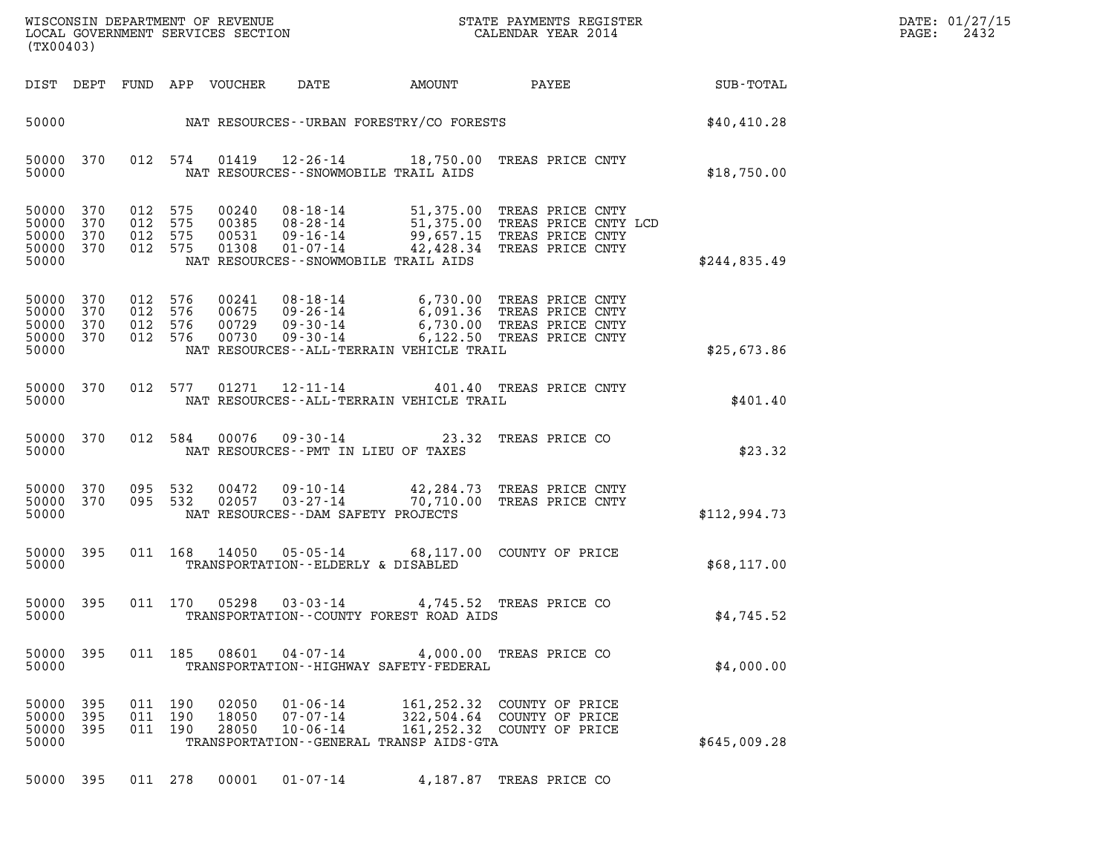| DATE: | 01/27/15 |
|-------|----------|
| PAGE: | 2432     |

| (TX00403)                                     |                          |         |                                     |                         |                                         |                                                |                                                                                                                                                              | DATE: 01/27/15<br>$\mathtt{PAGE:}$<br>2432 |  |
|-----------------------------------------------|--------------------------|---------|-------------------------------------|-------------------------|-----------------------------------------|------------------------------------------------|--------------------------------------------------------------------------------------------------------------------------------------------------------------|--------------------------------------------|--|
|                                               |                          |         |                                     |                         | DIST DEPT FUND APP VOUCHER DATE         |                                                |                                                                                                                                                              |                                            |  |
|                                               |                          |         |                                     |                         |                                         | 50000 MAT RESOURCES--URBAN FORESTRY/CO FORESTS |                                                                                                                                                              | \$40,410.28                                |  |
| 50000                                         |                          |         |                                     |                         | NAT RESOURCES - - SNOWMOBILE TRAIL AIDS |                                                | 50000 370 012 574 01419 12-26-14 18,750.00 TREAS PRICE CNTY                                                                                                  | \$18,750.00                                |  |
| 50000<br>50000<br>50000<br>50000<br>50000     | 370<br>370<br>370<br>370 | 012 575 | 012 575<br>012 575<br>012 575 01308 | 00240<br>00385<br>00531 | NAT RESOURCES--SNOWMOBILE TRAIL AIDS    |                                                | 08-18-14 51,375.00 TREAS PRICE CNTY<br>08-28-14 51,375.00 TREAS PRICE CNTY LCD<br>09-16-14 99,657.15 TREAS PRICE CNTY<br>01-07-14 42,428.34 TREAS PRICE CNTY | \$244,835.49                               |  |
| 50000 370<br>50000<br>50000<br>50000<br>50000 | 370<br>370<br>370        | 012 576 | 012 576 00241<br>012 576<br>012 576 | 00675<br>00729<br>00730 |                                         | NAT RESOURCES--ALL-TERRAIN VEHICLE TRAIL       | 08-18-14 6,730.00 TREAS PRICE CNTY<br>09-26-14 6,091.36 TREAS PRICE CNTY<br>09-30-14 6,730.00 TREAS PRICE CNTY<br>09-30-14 6,122.50 TREAS PRICE CNTY         | \$25,673.86                                |  |
| 50000 370<br>50000                            |                          |         |                                     |                         |                                         | NAT RESOURCES--ALL-TERRAIN VEHICLE TRAIL       | 012 577 01271 12-11-14 401.40 TREAS PRICE CNTY                                                                                                               | \$401.40                                   |  |
| 50000                                         |                          |         |                                     |                         | NAT RESOURCES -- PMT IN LIEU OF TAXES   |                                                | 50000 370 012 584 00076 09-30-14 23.32 TREAS PRICE CO                                                                                                        | \$23.32                                    |  |
| 50000<br>50000<br>50000                       | 370<br>370               | 095 532 |                                     |                         | NAT RESOURCES--DAM SAFETY PROJECTS      |                                                | 095 532 00472 09-10-14 42,284.73 TREAS PRICE CNTY<br>095 532 02057 03-27-14 70,710.00 TREAS PRICE CNTY                                                       | \$112,994.73                               |  |
| 50000                                         |                          |         |                                     |                         | TRANSPORTATION--ELDERLY & DISABLED      |                                                | 50000 395 011 168 14050 05-05-14 68,117.00 COUNTY OF PRICE                                                                                                   | \$68,117.00                                |  |
| 50000                                         |                          |         |                                     |                         |                                         | TRANSPORTATION--COUNTY FOREST ROAD AIDS        | 50000 395 011 170 05298 03-03-14 4,745.52 TREAS PRICE CO                                                                                                     | \$4,745.52                                 |  |
| 50000 395<br>50000                            |                          |         |                                     |                         |                                         | TRANSPORTATION - - HIGHWAY SAFETY - FEDERAL    | 011 185 08601 04-07-14 4,000.00 TREAS PRICE CO                                                                                                               | \$4,000.00                                 |  |
| 50000 395<br>50000<br>50000<br>50000          | -395<br>395              |         | 011 190<br>011 190<br>011 190       | 02050<br>18050<br>28050 | 01-06-14<br>07-07-14<br>$10 - 06 - 14$  | TRANSPORTATION - - GENERAL TRANSP AIDS - GTA   | 161,252.32 COUNTY OF PRICE<br>322,504.64 COUNTY OF PRICE<br>161,252.32 COUNTY OF PRICE                                                                       | \$645,009.28                               |  |

50000 395 011 278 00001 01-07-14 4,187.87 TREAS PRICE CO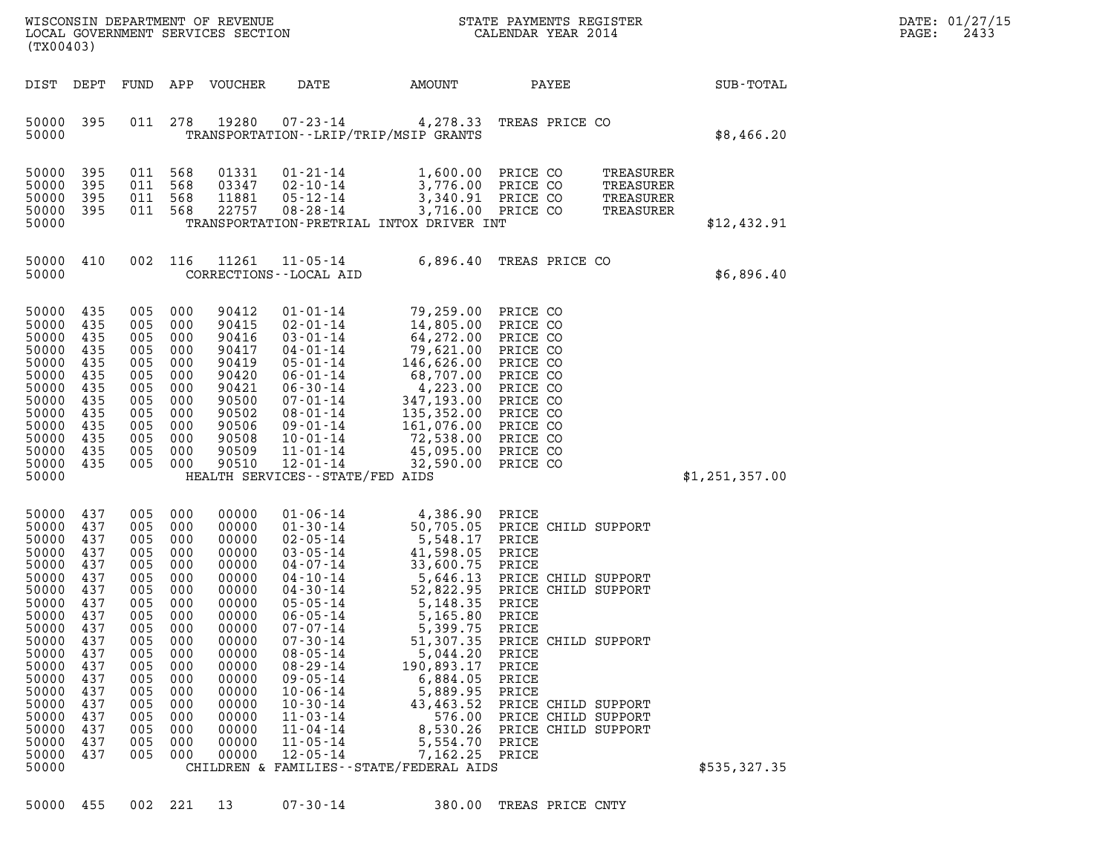| WISCONSIN DEPARTMENT OF REVENUE   | STATE PAYMENTS REGISTER | DATE: 01/27/15 |
|-----------------------------------|-------------------------|----------------|
| LOCAL GOVERNMENT SERVICES SECTION | CALENDAR YEAR 2014      | 2433<br>PAGE:  |

| DIST<br>DEPT<br>FUND<br>APP<br><b>VOUCHER</b><br>DATE<br>AMOUNT<br>PAYEE<br>395<br>278<br>19280<br>50000<br>011<br>$07 - 23 - 14$<br>4,278.33<br>TREAS PRICE CO<br>TRANSPORTATION - - LRIP/TRIP/MSIP GRANTS<br>50000<br>50000<br>395<br>011<br>568<br>01331<br>$01 - 21 - 14$<br>1,600.00 PRICE CO<br>TREASURER<br>395<br>568<br>03347<br>02-10-14<br>3,776.00 PRICE CO<br>50000<br>011<br>TREASURER<br>3,340.91 PRICE CO<br>50000<br>395<br>568<br>11881<br>$05 - 12 - 14$<br>011<br>TREASURER<br>3,716.00 PRICE CO<br>395<br>568<br>22757<br>$08 - 28 - 14$<br>50000<br>011<br>TREASURER<br>50000<br>TRANSPORTATION-PRETRIAL INTOX DRIVER INT<br>11261<br>6,896.40<br>50000<br>410<br>002<br>116<br>$11 - 05 - 14$<br>TREAS PRICE CO<br>50000<br>CORRECTIONS - - LOCAL AID<br>435<br>50000<br>005<br>000<br>90412<br>$01 - 01 - 14$<br>79,259.00 PRICE CO<br>435<br>14,805.00 PRICE CO<br>50000<br>005<br>000<br>90415<br>$02 - 01 - 14$<br>$64,272.00$ PRICE CO<br>50000<br>90416<br>$03 - 01 - 14$<br>$04 - 01 - 14$<br>435<br>005<br>000<br>50000<br>435<br>90417<br>005<br>000<br>50000<br>435<br>90419<br>005<br>000<br>$3-0$<br>$4-0$<br>$5-0$<br>$0-1$<br>$06-0$<br>$0-1$<br>$07-0$<br>$08-0$<br>$01-14$<br>$135,352.00$<br>PRICE<br>$09-0$<br>$1-14$<br>$161,076.00$<br>PRICE CO<br>$10-0$<br>$1-14$<br>$4,22$<br>$15,352.00$<br>PRICE CO<br>PRICE CO<br>$72,538.00$<br>PRICE CO<br>PRICE CO<br>$3$<br>50000<br>435<br>90420<br>005<br>000<br>50000<br>90421<br>435<br>005<br>000<br>50000<br>435<br>90500<br>005<br>000<br>50000<br>435<br>90502<br>005<br>000<br>50000<br>435<br>90506<br>005<br>000<br>90508<br>50000<br>435<br>005<br>000<br>435<br>50000<br>005<br>000<br>90509<br>000<br>90510<br>50000<br>435<br>005<br>50000<br>HEALTH SERVICES - - STATE/FED AIDS<br>\$1,251,357.00<br>437<br>005<br>50000<br>000<br>00000<br>$01 - 06 - 14$<br>4,386.90 PRICE<br>50,705.05<br>50000<br>437<br>000<br>00000<br>005<br>PRICE CHILD SUPPORT<br>5,548.17<br>50000<br>437<br>005<br>000<br>00000<br>PRICE<br>50000<br>437<br>005<br>000<br>00000<br>41,598.05<br>PRICE<br>50000<br>437<br>33,600.75<br>005<br>000<br>00000<br>PRICE<br>50000<br>437<br>5,646.13<br>005<br>000<br>00000<br>PRICE CHILD SUPPORT<br>50000<br>52,822.95 PRICE CHILD SUPPORT<br>437<br>005<br>000<br>00000<br>50000<br>437<br>5,148.35<br>005<br>000<br>00000<br>PRICE<br>437<br>50000<br>005<br>000<br>00000<br>PRICE | WISCONSIN DEPARTMENT OF REVENUE<br>LOCAL GOVERNMENT SERVICES SECTION<br>(TX00403) | STATE PAYMENTS REGISTER<br>CALENDAR YEAR 2014                                                                                                                              |                  |
|------------------------------------------------------------------------------------------------------------------------------------------------------------------------------------------------------------------------------------------------------------------------------------------------------------------------------------------------------------------------------------------------------------------------------------------------------------------------------------------------------------------------------------------------------------------------------------------------------------------------------------------------------------------------------------------------------------------------------------------------------------------------------------------------------------------------------------------------------------------------------------------------------------------------------------------------------------------------------------------------------------------------------------------------------------------------------------------------------------------------------------------------------------------------------------------------------------------------------------------------------------------------------------------------------------------------------------------------------------------------------------------------------------------------------------------------------------------------------------------------------------------------------------------------------------------------------------------------------------------------------------------------------------------------------------------------------------------------------------------------------------------------------------------------------------------------------------------------------------------------------------------------------------------------------------------------------------------------------------------------------------------------------------------------------------------------------------------------------------------------------------------------------------------------------------------------------------------------------------------------------------------------------------------------------------------------------------------------------------------------------------------------------------------|-----------------------------------------------------------------------------------|----------------------------------------------------------------------------------------------------------------------------------------------------------------------------|------------------|
|                                                                                                                                                                                                                                                                                                                                                                                                                                                                                                                                                                                                                                                                                                                                                                                                                                                                                                                                                                                                                                                                                                                                                                                                                                                                                                                                                                                                                                                                                                                                                                                                                                                                                                                                                                                                                                                                                                                                                                                                                                                                                                                                                                                                                                                                                                                                                                                                                  |                                                                                   |                                                                                                                                                                            | <b>SUB-TOTAL</b> |
|                                                                                                                                                                                                                                                                                                                                                                                                                                                                                                                                                                                                                                                                                                                                                                                                                                                                                                                                                                                                                                                                                                                                                                                                                                                                                                                                                                                                                                                                                                                                                                                                                                                                                                                                                                                                                                                                                                                                                                                                                                                                                                                                                                                                                                                                                                                                                                                                                  |                                                                                   |                                                                                                                                                                            | \$8,466.20       |
|                                                                                                                                                                                                                                                                                                                                                                                                                                                                                                                                                                                                                                                                                                                                                                                                                                                                                                                                                                                                                                                                                                                                                                                                                                                                                                                                                                                                                                                                                                                                                                                                                                                                                                                                                                                                                                                                                                                                                                                                                                                                                                                                                                                                                                                                                                                                                                                                                  |                                                                                   |                                                                                                                                                                            | \$12,432.91      |
|                                                                                                                                                                                                                                                                                                                                                                                                                                                                                                                                                                                                                                                                                                                                                                                                                                                                                                                                                                                                                                                                                                                                                                                                                                                                                                                                                                                                                                                                                                                                                                                                                                                                                                                                                                                                                                                                                                                                                                                                                                                                                                                                                                                                                                                                                                                                                                                                                  |                                                                                   |                                                                                                                                                                            | \$6,896.40       |
|                                                                                                                                                                                                                                                                                                                                                                                                                                                                                                                                                                                                                                                                                                                                                                                                                                                                                                                                                                                                                                                                                                                                                                                                                                                                                                                                                                                                                                                                                                                                                                                                                                                                                                                                                                                                                                                                                                                                                                                                                                                                                                                                                                                                                                                                                                                                                                                                                  |                                                                                   |                                                                                                                                                                            |                  |
| 437<br>000<br>5,399.75<br>50000<br>005<br>00000<br>PRICE<br>50000 437<br>005<br>$07 - 30 - 14$<br>51,307.35 PRICE CHILD SUPPORT<br>000<br>00000<br>5,044.20<br>50000<br>437<br>005<br>00000<br>$08 - 05 - 14$<br>PRICE<br>000<br>$08 - 29 - 14$<br>190,893.17<br>50000<br>437<br>005<br>000<br>00000<br>PRICE<br>50000<br>437<br>$09 - 05 - 14$<br>6,884.05<br>005<br>000<br>00000<br>PRICE<br>5,889.95<br>50000<br>437<br>005<br>000<br>00000<br>$10 - 06 - 14$<br>PRICE<br>437<br>50000<br>005<br>000<br>00000<br>$10 - 30 - 14$<br>43,463.52<br>PRICE CHILD SUPPORT<br>$11 - 03 - 14$<br>576.00<br>50000<br>437<br>005<br>000<br>00000<br>PRICE CHILD SUPPORT<br>8,530.26<br>50000<br>437<br>005<br>000<br>00000<br>$11 - 04 - 14$<br>PRICE CHILD SUPPORT<br>50000<br>437<br>005<br>000<br>00000<br>$11 - 05 - 14$<br>5,554.70<br>PRICE<br>$12 - 05 - 14$<br>50000<br>437<br>005<br>000<br>00000<br>7,162.25<br>PRICE<br>50000<br>CHILDREN & FAMILIES--STATE/FEDERAL AIDS                                                                                                                                                                                                                                                                                                                                                                                                                                                                                                                                                                                                                                                                                                                                                                                                                                                                                                                                                                                                                                                                                                                                                                                                                                                                                                                                                                                                                                     |                                                                                   | $01 - 30 - 14$<br>$02 - 05 - 14$<br>$03 - 05 - 14$<br>$04 - 07 - 14$<br>$04 - 10 - 14$<br>$04 - 30 - 14$<br>$05 - 05 - 14$<br>$06 - 05 - 14$<br>$07 - 07 - 14$<br>5,165.80 | \$535,327.35     |

50000 455 002 221 13 07-30-14 380.00 TREAS PRICE CNTY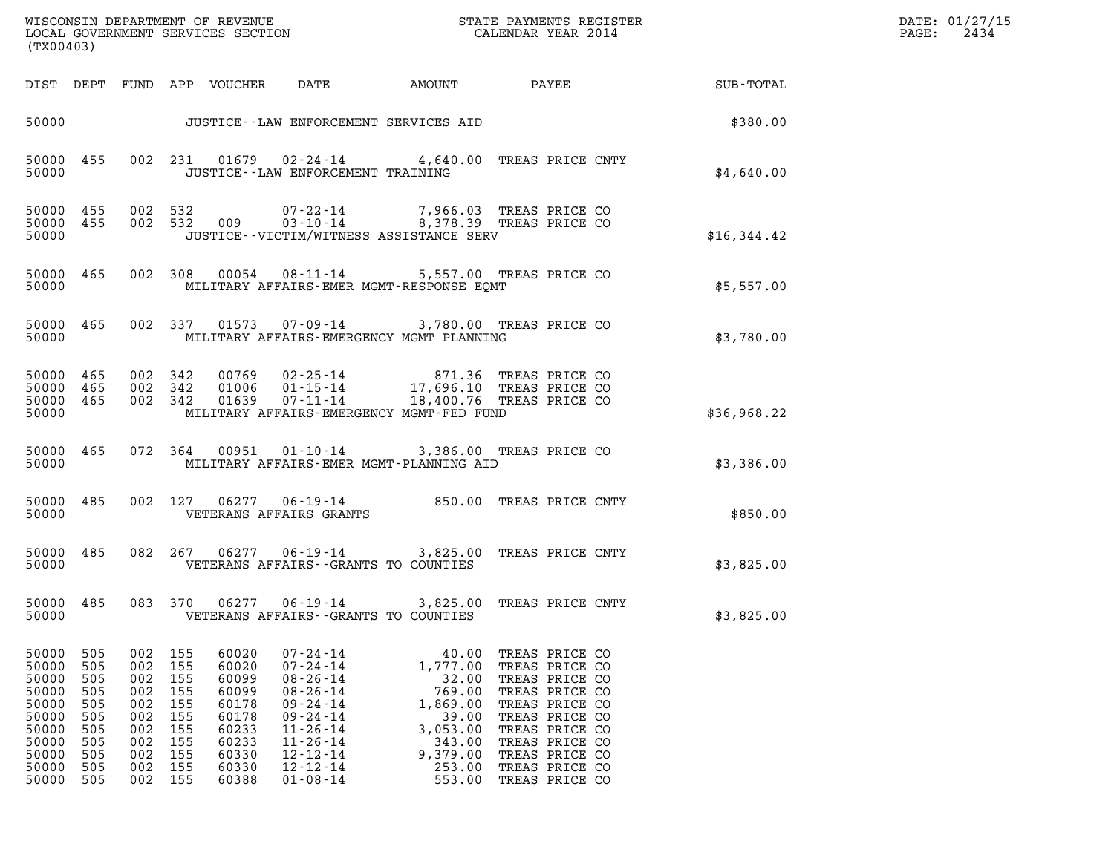| (TX00403)                                                                                       |                                                                           |                                                             |                                                                                   |                                                                                                 |                                                                                                                                                                                                    |                                                                                                                                                                                                |                                                                                                                                                                                                    |             | DATE: 01/27/15<br>$\mathtt{PAGE:}$<br>2434 |
|-------------------------------------------------------------------------------------------------|---------------------------------------------------------------------------|-------------------------------------------------------------|-----------------------------------------------------------------------------------|-------------------------------------------------------------------------------------------------|----------------------------------------------------------------------------------------------------------------------------------------------------------------------------------------------------|------------------------------------------------------------------------------------------------------------------------------------------------------------------------------------------------|----------------------------------------------------------------------------------------------------------------------------------------------------------------------------------------------------|-------------|--------------------------------------------|
|                                                                                                 |                                                                           |                                                             |                                                                                   | DIST DEPT FUND APP VOUCHER DATE                                                                 |                                                                                                                                                                                                    |                                                                                                                                                                                                |                                                                                                                                                                                                    |             |                                            |
|                                                                                                 |                                                                           |                                                             |                                                                                   |                                                                                                 |                                                                                                                                                                                                    | JUSTICE--LAW ENFORCEMENT SERVICES AID                                                                                                                                                          |                                                                                                                                                                                                    | \$380.00    |                                            |
| 50000                                                                                           |                                                                           |                                                             |                                                                                   |                                                                                                 | JUSTICE - - LAW ENFORCEMENT TRAINING                                                                                                                                                               | 50000 455 002 231 01679 02-24-14 4,640.00 TREAS PRICE CNTY                                                                                                                                     |                                                                                                                                                                                                    | \$4,640.00  |                                            |
| 50000 455<br>50000 455<br>50000                                                                 |                                                                           |                                                             |                                                                                   |                                                                                                 |                                                                                                                                                                                                    | JUSTICE--VICTIM/WITNESS ASSISTANCE SERV                                                                                                                                                        |                                                                                                                                                                                                    | \$16,344.42 |                                            |
| 50000                                                                                           |                                                                           |                                                             |                                                                                   |                                                                                                 |                                                                                                                                                                                                    | 50000 465 002 308 00054 08-11-14 5,557.00 TREAS PRICE CO<br>MILITARY AFFAIRS-EMER MGMT-RESPONSE EQMT                                                                                           |                                                                                                                                                                                                    | \$5,557.00  |                                            |
| 50000                                                                                           |                                                                           |                                                             |                                                                                   |                                                                                                 |                                                                                                                                                                                                    | 50000 465 002 337 01573 07-09-14 3,780.00 TREAS PRICE CO<br>MILITARY AFFAIRS-EMERGENCY MGMT PLANNING                                                                                           |                                                                                                                                                                                                    | \$3,780.00  |                                            |
| 50000 465<br>50000<br>50000<br>50000                                                            | 465<br>465                                                                |                                                             |                                                                                   |                                                                                                 |                                                                                                                                                                                                    | 002 342 00769 02-25-14 871.36 TREAS PRICE CO<br>002 342 01006 01-15-14 17,696.10 TREAS PRICE CO<br>002 342 01639 07-11-14 18,400.76 TREAS PRICE CO<br>MILITARY AFFAIRS-EMERGENCY MGMT-FED FUND |                                                                                                                                                                                                    | \$36,968.22 |                                            |
| 50000                                                                                           |                                                                           |                                                             |                                                                                   |                                                                                                 |                                                                                                                                                                                                    | 50000 465 072 364 00951 01-10-14 3,386.00 TREAS PRICE CO<br>MILITARY AFFAIRS-EMER MGMT-PLANNING AID                                                                                            |                                                                                                                                                                                                    | \$3,386.00  |                                            |
| 50000 485<br>50000                                                                              |                                                                           |                                                             |                                                                                   |                                                                                                 | VETERANS AFFAIRS GRANTS                                                                                                                                                                            | 002 127 06277 06-19-14 850.00 TREAS PRICE CNTY                                                                                                                                                 |                                                                                                                                                                                                    | \$850.00    |                                            |
| 50000                                                                                           |                                                                           |                                                             |                                                                                   |                                                                                                 |                                                                                                                                                                                                    | 50000 485 082 267 06277 06-19-14 3,825.00 TREAS PRICE CNTY<br>VETERANS AFFAIRS--GRANTS TO COUNTIES                                                                                             |                                                                                                                                                                                                    | \$3,825.00  |                                            |
| 50000                                                                                           |                                                                           |                                                             |                                                                                   |                                                                                                 |                                                                                                                                                                                                    | 50000 485 083 370 06277 06-19-14 3,825.00 TREAS PRICE CNTY<br>VETERANS AFFAIRS -- GRANTS TO COUNTIES                                                                                           |                                                                                                                                                                                                    | \$3,825.00  |                                            |
| 50000<br>50000<br>50000<br>50000<br>50000<br>50000<br>50000<br>50000<br>50000<br>50000<br>50000 | 505<br>505<br>505<br>505<br>505<br>505<br>505<br>505<br>505<br>505<br>505 | 002<br>002<br>002<br>002<br>002<br>002<br>002<br>002<br>002 | 155<br>155<br>155<br>155<br>155<br>155<br>155<br>155<br>155<br>002 155<br>002 155 | 60020<br>60020<br>60099<br>60099<br>60178<br>60178<br>60233<br>60233<br>60330<br>60330<br>60388 | $07 - 24 - 14$<br>$07 - 24 - 14$<br>$08 - 26 - 14$<br>$08 - 26 - 14$<br>$09 - 24 - 14$<br>$09 - 24 - 14$<br>$11 - 26 - 14$<br>$11 - 26 - 14$<br>$12 - 12 - 14$<br>$12 - 12 - 14$<br>$01 - 08 - 14$ | 40.00<br>1,777.00<br>32.00<br>769.00<br>1,869.00<br>39.00<br>3,053.00<br>343.00<br>9,379.00<br>253.00<br>553.00                                                                                | TREAS PRICE CO<br>TREAS PRICE CO<br>TREAS PRICE CO<br>TREAS PRICE CO<br>TREAS PRICE CO<br>TREAS PRICE CO<br>TREAS PRICE CO<br>TREAS PRICE CO<br>TREAS PRICE CO<br>TREAS PRICE CO<br>TREAS PRICE CO |             |                                            |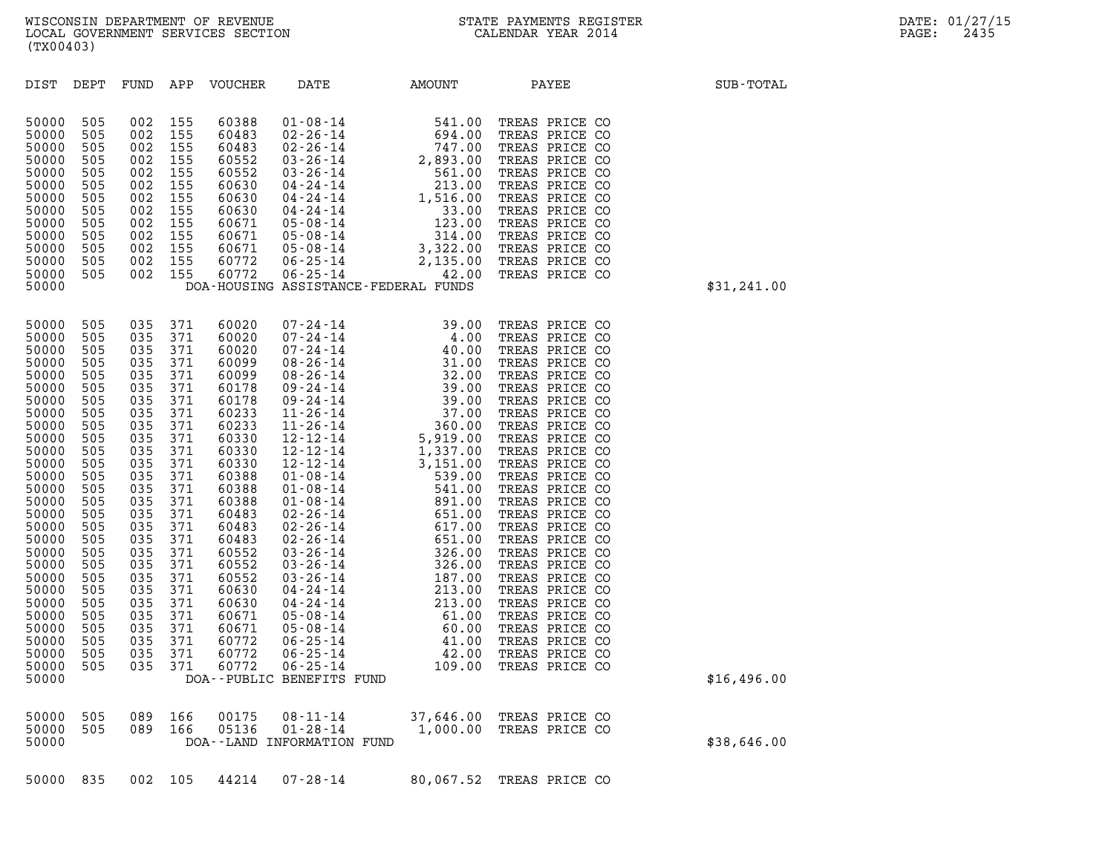| (TX00403)                                                                                                                                                                                        |                                                                                                                                                                                                  |                                                                                                                                                                                                  |                                                                                                                                                                                                                                                          |                                  |                                                         |                                                                                                                                                                                                                                                                                                                                                                                                                                                                                                                      |                                                                                                                                                                                                                                                                                                                                                                                                                                                                                                                                                                                                                                                             |
|--------------------------------------------------------------------------------------------------------------------------------------------------------------------------------------------------|--------------------------------------------------------------------------------------------------------------------------------------------------------------------------------------------------|--------------------------------------------------------------------------------------------------------------------------------------------------------------------------------------------------|----------------------------------------------------------------------------------------------------------------------------------------------------------------------------------------------------------------------------------------------------------|----------------------------------|---------------------------------------------------------|----------------------------------------------------------------------------------------------------------------------------------------------------------------------------------------------------------------------------------------------------------------------------------------------------------------------------------------------------------------------------------------------------------------------------------------------------------------------------------------------------------------------|-------------------------------------------------------------------------------------------------------------------------------------------------------------------------------------------------------------------------------------------------------------------------------------------------------------------------------------------------------------------------------------------------------------------------------------------------------------------------------------------------------------------------------------------------------------------------------------------------------------------------------------------------------------|
| DEPT                                                                                                                                                                                             | FUND                                                                                                                                                                                             | APP                                                                                                                                                                                              | VOUCHER                                                                                                                                                                                                                                                  | DATE                             | AMOUNT                                                  | PAYEE                                                                                                                                                                                                                                                                                                                                                                                                                                                                                                                | SUB-TOTAL                                                                                                                                                                                                                                                                                                                                                                                                                                                                                                                                                                                                                                                   |
| 505<br>505<br>505<br>505<br>505<br>505<br>505<br>505<br>505<br>505<br>505<br>505<br>505                                                                                                          | 002<br>002<br>002<br>002<br>002<br>002<br>002<br>002<br>002<br>002<br>002<br>002<br>002                                                                                                          | 155<br>155<br>155<br>155<br>155<br>155<br>155<br>155<br>155<br>155<br>155<br>155<br>155                                                                                                          | 60388<br>60483<br>60483<br>60552<br>60552<br>60630<br>60630<br>60630<br>60671<br>60671<br>60671<br>60772<br>60772                                                                                                                                        |                                  |                                                         | TREAS PRICE CO<br>TREAS PRICE CO<br>TREAS PRICE CO<br>TREAS PRICE CO<br>TREAS PRICE CO<br>TREAS PRICE CO<br>TREAS PRICE CO<br>TREAS PRICE CO<br>TREAS PRICE CO<br>TREAS PRICE CO<br>TREAS PRICE CO<br>TREAS PRICE CO<br>TREAS PRICE CO                                                                                                                                                                                                                                                                               | \$31,241.00                                                                                                                                                                                                                                                                                                                                                                                                                                                                                                                                                                                                                                                 |
| 505<br>505<br>505<br>505<br>505<br>505<br>505<br>505<br>505<br>505<br>505<br>505<br>505<br>505<br>505<br>505<br>505<br>505<br>505<br>505<br>505<br>505<br>505<br>505<br>505<br>505<br>505<br>505 | 035<br>035<br>035<br>035<br>035<br>035<br>035<br>035<br>035<br>035<br>035<br>035<br>035<br>035<br>035<br>035<br>035<br>035<br>035<br>035<br>035<br>035<br>035<br>035<br>035<br>035<br>035<br>035 | 371<br>371<br>371<br>371<br>371<br>371<br>371<br>371<br>371<br>371<br>371<br>371<br>371<br>371<br>371<br>371<br>371<br>371<br>371<br>371<br>371<br>371<br>371<br>371<br>371<br>371<br>371<br>371 | 60020<br>60020<br>60020<br>60099<br>60099<br>60178<br>60178<br>60233<br>60233<br>60330<br>60330<br>60330<br>60388<br>60388<br>60388<br>60483<br>60483<br>60483<br>60552<br>60552<br>60552<br>60630<br>60630<br>60671<br>60671<br>60772<br>60772<br>60772 |                                  |                                                         | TREAS PRICE CO<br>TREAS PRICE CO<br>TREAS PRICE CO<br>TREAS PRICE CO<br>TREAS PRICE CO<br>TREAS PRICE CO<br>TREAS PRICE CO<br>TREAS PRICE CO<br>TREAS PRICE CO<br>TREAS PRICE CO<br>TREAS PRICE CO<br>TREAS PRICE CO<br>TREAS PRICE CO<br>TREAS PRICE CO<br>TREAS PRICE CO<br>TREAS PRICE CO<br>TREAS PRICE CO<br>TREAS PRICE CO<br>TREAS PRICE CO<br>TREAS PRICE CO<br>TREAS PRICE CO<br>TREAS PRICE CO<br>TREAS PRICE CO<br>TREAS PRICE CO<br>TREAS PRICE CO<br>TREAS PRICE CO<br>TREAS PRICE CO<br>TREAS PRICE CO | \$16,496.00                                                                                                                                                                                                                                                                                                                                                                                                                                                                                                                                                                                                                                                 |
| 505<br>505                                                                                                                                                                                       | 089<br>089                                                                                                                                                                                       | 166<br>166                                                                                                                                                                                       | 00175<br>05136                                                                                                                                                                                                                                           | $08 - 11 - 14$<br>$01 - 28 - 14$ |                                                         | TREAS PRICE CO                                                                                                                                                                                                                                                                                                                                                                                                                                                                                                       | \$38,646.00                                                                                                                                                                                                                                                                                                                                                                                                                                                                                                                                                                                                                                                 |
| 835                                                                                                                                                                                              | 002                                                                                                                                                                                              | 105                                                                                                                                                                                              | 44214                                                                                                                                                                                                                                                    | $07 - 28 - 14$                   |                                                         | TREAS PRICE CO                                                                                                                                                                                                                                                                                                                                                                                                                                                                                                       |                                                                                                                                                                                                                                                                                                                                                                                                                                                                                                                                                                                                                                                             |
|                                                                                                                                                                                                  |                                                                                                                                                                                                  |                                                                                                                                                                                                  |                                                                                                                                                                                                                                                          |                                  | DOA--PUBLIC BENEFITS FUND<br>DOA--LAND INFORMATION FUND | DOA-HOUSING ASSISTANCE-FEDERAL FUNDS                                                                                                                                                                                                                                                                                                                                                                                                                                                                                 | 01-08-14<br>02-26-14<br>02-26-14<br>03-26-14<br>03-26-14<br>03-26-14<br>03-26-14<br>04-24-14<br>04-24-14<br>05-08-14<br>05-08-14<br>05-08-14<br>05-08-14<br>06-25-14<br>06-25-14<br>06-25-14<br>06-25-14<br>06-25-14<br>06-25-14<br>06-25-14<br>06-25-14<br>06-25-14<br>06<br>$\begin{array}{cccc} 07\hbox{-}24\hbox{-}14 & 39.00 \\ 07\hbox{-}24\hbox{-}14 & 4.00 \\ 07\hbox{-}24\hbox{-}14 & 4.00 \\ 08\hbox{-}26\hbox{-}14 & 32.00 \\ 09\hbox{-}24\hbox{-}14 & 32.00 \\ 09\hbox{-}24\hbox{-}14 & 39.00 \\ 09\hbox{-}24\hbox{-}14 & 39.00 \\ 09\hbox{-}24\hbox{-}14 & 39.00 \\ 11\hbox{-}26\hbox{-}$<br>37,646.00 TREAS PRICE CO<br>1,000.00<br>80,067.52 |

|  |  |  |  |  | 50000 835 002 105 44214 07–28–14 | 80,067.52 TREAS PRICE CO |  |  |  |
|--|--|--|--|--|----------------------------------|--------------------------|--|--|--|
|--|--|--|--|--|----------------------------------|--------------------------|--|--|--|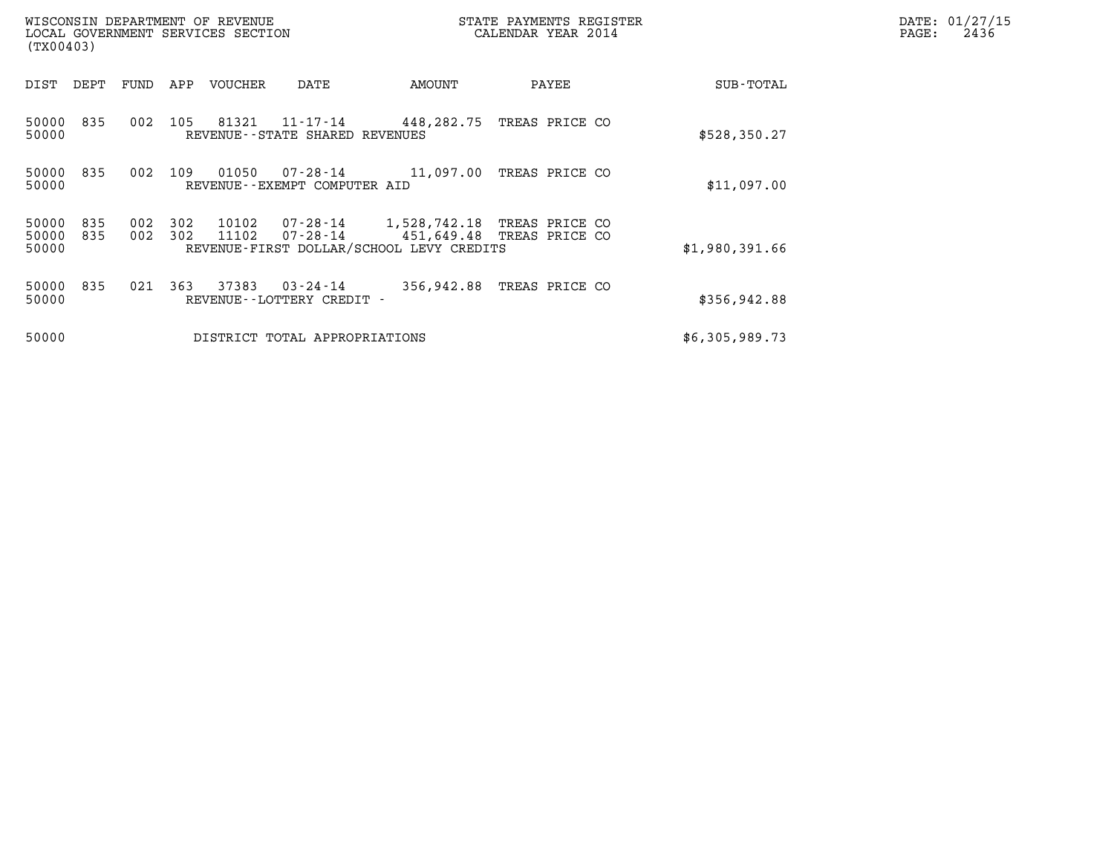| WISCONSIN DEPARTMENT OF REVENUE<br>STATE PAYMENTS REGISTER<br>LOCAL GOVERNMENT SERVICES SECTION<br>CALENDAR YEAR 2014<br>(TX00403) |            |            |            |                |                                       |                                                                         |                           | $\mathtt{PAGE:}$ | DATE: 01/27/15<br>2436 |  |  |
|------------------------------------------------------------------------------------------------------------------------------------|------------|------------|------------|----------------|---------------------------------------|-------------------------------------------------------------------------|---------------------------|------------------|------------------------|--|--|
| DIST                                                                                                                               | DEPT       | FUND       | APP        | VOUCHER        | DATE                                  | AMOUNT                                                                  | PAYEE                     |                  | SUB-TOTAL              |  |  |
| 50000<br>50000                                                                                                                     | 835        | 002        | 105        | 81321          | REVENUE--STATE SHARED REVENUES        | $11 - 17 - 14$ $448, 282, 75$                                           | TREAS PRICE CO            |                  | \$528, 350.27          |  |  |
| 50000<br>50000                                                                                                                     | 835        | 002        | 109        | 01050          | REVENUE--EXEMPT COMPUTER AID          | 07-28-14 11,097.00                                                      | TREAS PRICE CO            |                  | \$11,097.00            |  |  |
| 50000<br>50000<br>50000                                                                                                            | 835<br>835 | 002<br>002 | 302<br>302 | 10102<br>11102 | 07-28-14<br>07-28-14                  | 1,528,742.18 TREAS PRICE CO<br>REVENUE-FIRST DOLLAR/SCHOOL LEVY CREDITS | 451,649.48 TREAS PRICE CO | \$1,980,391.66   |                        |  |  |
| 50000<br>50000                                                                                                                     | 835        | 021        | 363        | 37383          | 03-24-14<br>REVENUE--LOTTERY CREDIT - | 356,942.88                                                              | TREAS PRICE CO            |                  | \$356, 942.88          |  |  |
| 50000                                                                                                                              |            |            |            |                | DISTRICT TOTAL APPROPRIATIONS         |                                                                         |                           | \$6,305,989.73   |                        |  |  |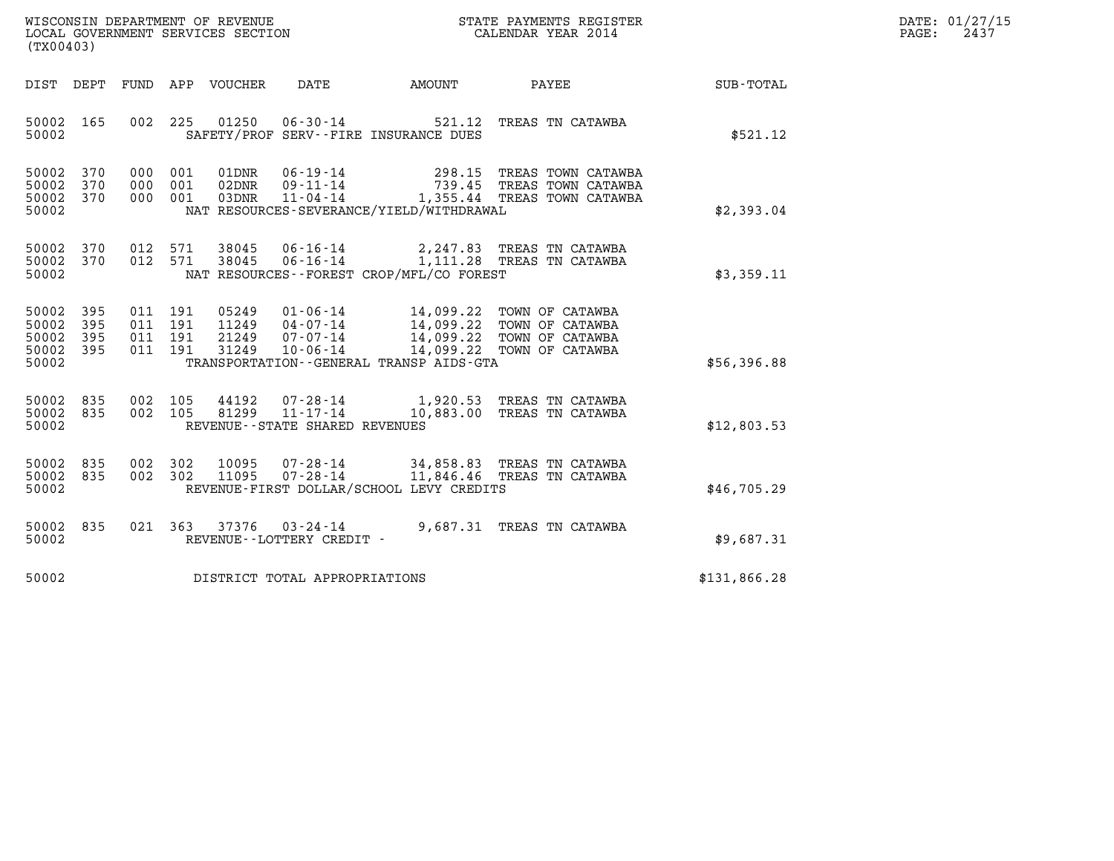| WISCONSIN DEPARTMENT OF REVENUE   | STATE PAYMENTS REGISTER | DATE: 01/27/15 |
|-----------------------------------|-------------------------|----------------|
| LOCAL GOVERNMENT SERVICES SECTION | CALENDAR YEAR 2014      | 2437<br>PAGE:  |

| (TX00403)                                                                                         | LOCAL GOVERNMENT SERVICES SECTION                                                                                                                                                        | CALENDAR YEAR 2014                                                                                                 |                  |
|---------------------------------------------------------------------------------------------------|------------------------------------------------------------------------------------------------------------------------------------------------------------------------------------------|--------------------------------------------------------------------------------------------------------------------|------------------|
| DIST<br>DEPT<br>FUND                                                                              | DATE<br>APP VOUCHER<br>AMOUNT                                                                                                                                                            | PAYEE                                                                                                              | <b>SUB-TOTAL</b> |
| 165<br>002<br>50002<br>50002                                                                      | 225<br>01250<br>$06 - 30 - 14$ 521.12<br>SAFETY/PROF SERV--FIRE INSURANCE DUES                                                                                                           | TREAS TN CATAWBA                                                                                                   | \$521.12         |
| 50002<br>370<br>000<br>50002<br>370<br>000<br>370<br>000<br>50002<br>50002                        | 001<br>01DNR<br>06-19-14<br>09-11-14<br>001<br>02DNR<br>001<br>03DNR<br>NAT RESOURCES-SEVERANCE/YIELD/WITHDRAWAL                                                                         | 298.15 TREAS TOWN CATAWBA<br>--- ייטו ממשתו 298.15 PREAS<br>739.45 TREAS TOWN CATAWBA<br>---- המחמי משתמו המחמור ב | \$2,393.04       |
| 50002<br>370<br>012<br>370<br>012<br>50002<br>50002                                               | 38045<br>06-16-14<br>571<br>$06 - 16 - 14$<br>571<br>38045<br>NAT RESOURCES - - FOREST CROP/MFL/CO FOREST                                                                                | 2,247.83 TREAS TN CATAWBA<br>2,247.83 INDEED<br>1,111.28 TREAS TN CATAWBA                                          | \$3,359.11       |
| 50002<br>395<br>011<br>395<br>50002<br>011<br>395<br>011<br>50002<br>395<br>011<br>50002<br>50002 | 191<br>05249<br>$01 - 06 - 14$<br>191<br>11249<br>04 - 07 - 14<br>07 - 07 - 14<br>21249<br>191<br>14,099.22<br>191<br>31249<br>$10 - 06 - 14$<br>TRANSPORTATION--GENERAL TRANSP AIDS-GTA | 14,099.22 TOWN OF CATAWBA<br>14,099.22 TOWN OF CATAWBA<br>14,099.22 TOWN OF CATAWBA<br>TOWN OF CATAWBA             | \$56,396.88      |
| 835<br>002<br>50002<br>002<br>50002<br>835<br>50002                                               | 105<br>44192<br>07-28-14 1,920.53 TREAS TN CATAWBA<br>11-17-14 10,883.00 TREAS TN CATAWBA<br>81299<br>105<br>REVENUE - - STATE SHARED REVENUES                                           |                                                                                                                    | \$12,803.53      |
| 835<br>002<br>50002<br>50002<br>835<br>002<br>50002                                               | 302<br>10095<br>$07 - 28 - 14$<br>$07 - 28 - 14$<br>11095<br>302<br>REVENUE-FIRST DOLLAR/SCHOOL LEVY CREDITS                                                                             | 34,858.83 TREAS TN CATAWBA<br>11,846.46 TREAS TN CATAWBA                                                           | \$46,705.29      |
| 50002<br>835<br>021<br>50002                                                                      | 9,687.31<br>363<br>37376<br>$03 - 24 - 14$<br>REVENUE--LOTTERY CREDIT -                                                                                                                  | TREAS TN CATAWBA                                                                                                   | \$9,687.31       |
| 50002                                                                                             | DISTRICT TOTAL APPROPRIATIONS                                                                                                                                                            |                                                                                                                    | \$131,866.28     |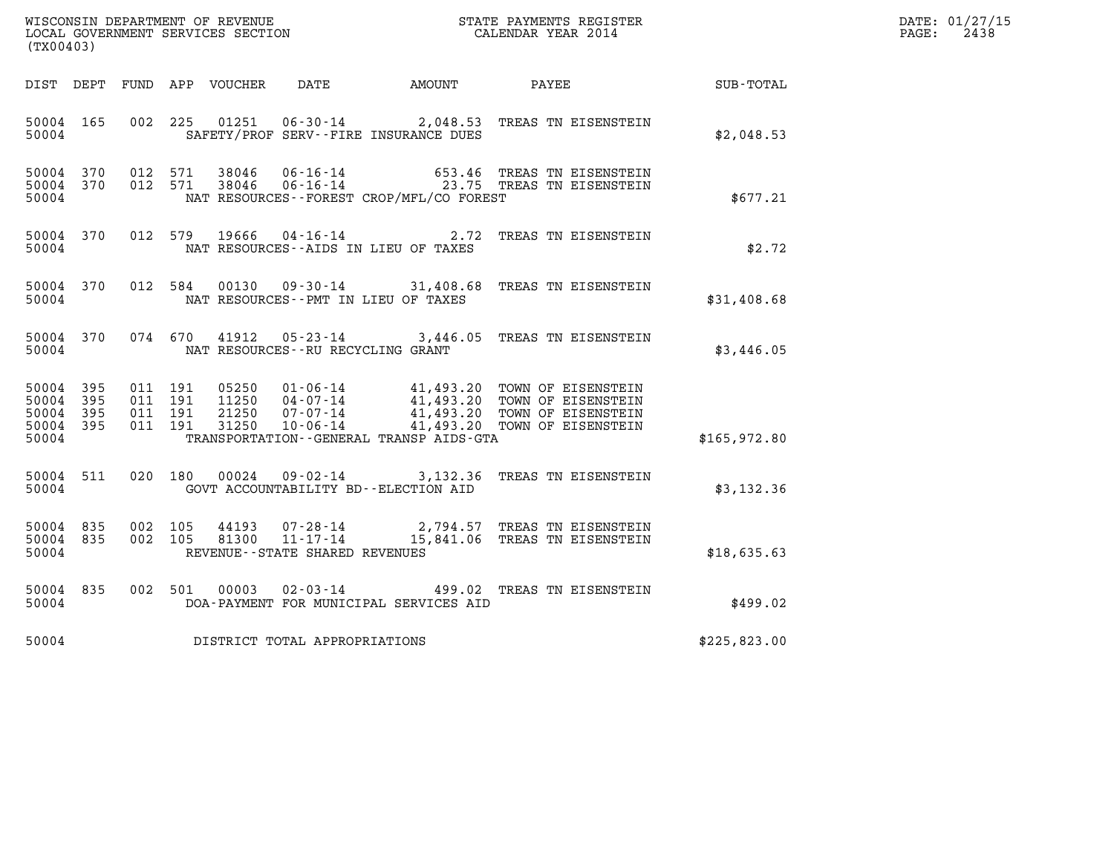| WISCONSIN DEPARTMENT OF REVENUE   | STATE PAYMENTS REGISTER | DATE: 01/27/15 |
|-----------------------------------|-------------------------|----------------|
| LOCAL GOVERNMENT SERVICES SECTION | CALENDAR YEAR 2014      | 2438<br>PAGE:  |

| (TX00403)                                         |            |                                          |                                  |                                      |                                            | WISCONSIN DEPARTMENT OF REVENUE<br>LOCAL GOVERNMENT SERVICES SECTION<br>(TYOO402) CALENDAR YEAR 2014                                                          |              | DATE: 01/27/15<br>$\mathtt{PAGE:}$<br>2438 |
|---------------------------------------------------|------------|------------------------------------------|----------------------------------|--------------------------------------|--------------------------------------------|---------------------------------------------------------------------------------------------------------------------------------------------------------------|--------------|--------------------------------------------|
|                                                   |            |                                          | DIST DEPT FUND APP VOUCHER       |                                      | DATE AMOUNT                                | <b>PAYEE</b>                                                                                                                                                  | SUB-TOTAL    |                                            |
| 50004 165<br>50004                                |            | 002 225                                  | 01251                            |                                      | SAFETY/PROF SERV--FIRE INSURANCE DUES      | 06-30-14 2,048.53 TREAS TN EISENSTEIN                                                                                                                         | \$2.048.53   |                                            |
| 50004<br>50004 370<br>50004                       | 370        |                                          |                                  |                                      | NAT RESOURCES -- FOREST CROP/MFL/CO FOREST | 012 571 38046 06-16-14 653.46 TREAS TN EISENSTEIN<br>012 571 38046 06-16-14 23.75 TREAS TN EISENSTEIN                                                         | \$677.21     |                                            |
| 50004 370<br>50004                                |            |                                          | 012 579 19666                    |                                      | NAT RESOURCES -- AIDS IN LIEU OF TAXES     | 04-16-14 2.72 TREAS TN EISENSTEIN                                                                                                                             | \$2.72       |                                            |
| 50004 370<br>50004                                |            |                                          |                                  |                                      | NAT RESOURCES -- PMT IN LIEU OF TAXES      | 012 584 00130 09-30-14 31,408.68 TREAS TN EISENSTEIN                                                                                                          | \$31,408.68  |                                            |
| 50004 370<br>50004                                |            |                                          |                                  | NAT RESOURCES - - RU RECYCLING GRANT |                                            | 074 670 41912 05-23-14 3,446.05 TREAS TN EISENSTEIN                                                                                                           | \$3,446.05   |                                            |
| 50004<br>50004<br>50004 395<br>50004 395<br>50004 | 395<br>395 | 011 191<br>011 191<br>011 191<br>011 191 | 05250<br>11250<br>21250<br>31250 |                                      | TRANSPORTATION--GENERAL TRANSP AIDS-GTA    | 01-06-14 41,493.20 TOWN OF EISENSTEIN<br>04-07-14 41,493.20 TOWN OF EISENSTEIN<br>07-07-14 41,493.20 TOWN OF EISENSTEIN<br>10-06-14 493.20 TOWN OF EISENSTEIN | \$165,972.80 |                                            |
| 50004 511<br>50004                                |            | 020 180                                  | 00024                            |                                      | GOVT ACCOUNTABILITY BD--ELECTION AID       | 09-02-14 3,132.36 TREAS TN EISENSTEIN                                                                                                                         | \$3,132.36   |                                            |
| 50004 835<br>50004 835<br>50004                   |            | 002 105<br>002 105                       | 44193<br>81300                   | REVENUE - - STATE SHARED REVENUES    |                                            | 07-28-14 2,794.57 TREAS TN EISENSTEIN<br>11-17-14 15,841.06 TREAS TN EISENSTEIN                                                                               | \$18,635.63  |                                            |
| 50004 835<br>50004                                |            |                                          | 002 501 00003                    |                                      | DOA-PAYMENT FOR MUNICIPAL SERVICES AID     | 02-03-14 499.02 TREAS TN EISENSTEIN                                                                                                                           | \$499.02     |                                            |
|                                                   |            |                                          |                                  | 50004 DISTRICT TOTAL APPROPRIATIONS  |                                            |                                                                                                                                                               | \$225,823.00 |                                            |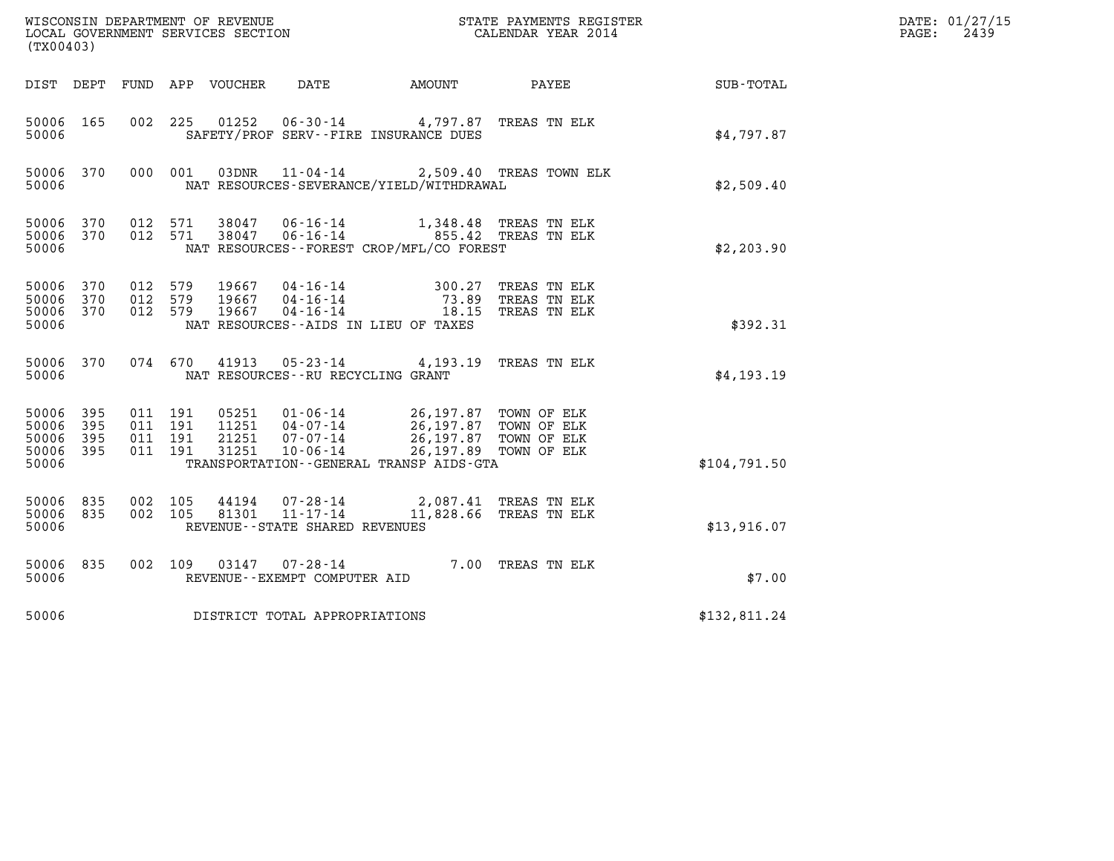| (TX00403)                                     |                     |                                          |         |                            |                                                        |                                                                                                           |                                                     |              | DATE: 01/27/15<br>$\mathtt{PAGE:}$<br>2439 |
|-----------------------------------------------|---------------------|------------------------------------------|---------|----------------------------|--------------------------------------------------------|-----------------------------------------------------------------------------------------------------------|-----------------------------------------------------|--------------|--------------------------------------------|
|                                               |                     |                                          |         | DIST DEPT FUND APP VOUCHER | DATE                                                   | AMOUNT PAYEE                                                                                              |                                                     | SUB-TOTAL    |                                            |
| 50006 165<br>50006                            |                     | 002 225                                  |         |                            |                                                        | 01252  06-30-14  4,797.87  TREAS TN ELK<br>SAFETY/PROF SERV--FIRE INSURANCE DUES                          |                                                     | \$4,797.87   |                                            |
| 50006 370<br>50006                            |                     |                                          | 000 001 |                            |                                                        | 03DNR  11-04-14  2,509.40 TREAS TOWN ELK<br>NAT RESOURCES-SEVERANCE/YIELD/WITHDRAWAL                      |                                                     | \$2,509.40   |                                            |
| 50006 370<br>50006 370<br>50006               |                     | 012 571<br>012 571                       |         | 38047<br>38047             | $06 - 16 - 14$                                         | 06-16-14  855.42 TREAS TN ELK<br>NAT RESOURCES - - FOREST CROP/MFL/CO FOREST                              | $1,348.48$ TREAS TN ELK                             | \$2,203.90   |                                            |
| 50006 370<br>50006<br>50006 370<br>50006      | 370                 | 012 579<br>012 579<br>012 579            |         | 19667<br>19667<br>19667    |                                                        | 04-16-14 300.27<br>04-16-14 73.89<br>04-16-14 18.15<br>NAT RESOURCES--AIDS IN LIEU OF TAXES               | TREAS TN ELK<br>TREAS TN ELK<br>TREAS TN ELK        | \$392.31     |                                            |
| 50006 370<br>50006                            |                     |                                          | 074 670 |                            | NAT RESOURCES - - RU RECYCLING GRANT                   | 41913  05-23-14  4,193.19  TREAS TN ELK                                                                   |                                                     | \$4,193.19   |                                            |
| 50006 395<br>50006<br>50006<br>50006<br>50006 | 395<br>- 395<br>395 | 011 191<br>011 191<br>011 191<br>011 191 |         | 11251<br>21251<br>31251    | 04-07-14<br>07-07-14<br>$10 - 06 - 14$                 | 05251 01-06-14 26,197.87 TOWN OF ELK<br>26,197.87<br>26,197.87<br>TRANSPORTATION--GENERAL TRANSP AIDS-GTA | TOWN OF ELK<br>TOWN OF ELK<br>26,197.89 TOWN OF ELK | \$104,791.50 |                                            |
| 50006 835<br>50006 835<br>50006               |                     | 002 105<br>002 105                       |         | 44194<br>81301             | 07-28-14<br>11-17-14<br>REVENUE--STATE SHARED REVENUES |                                                                                                           | 2,087.41 TREAS TN ELK<br>11,828.66 TREAS TN ELK     | \$13,916.07  |                                            |
| 50006 835<br>50006                            |                     | 002 109                                  |         |                            | REVENUE--EXEMPT COMPUTER AID                           | 03147  07-28-14  7.00 TREAS TN ELK                                                                        |                                                     | \$7.00       |                                            |
| 50006                                         |                     |                                          |         |                            | DISTRICT TOTAL APPROPRIATIONS                          |                                                                                                           |                                                     | \$132,811.24 |                                            |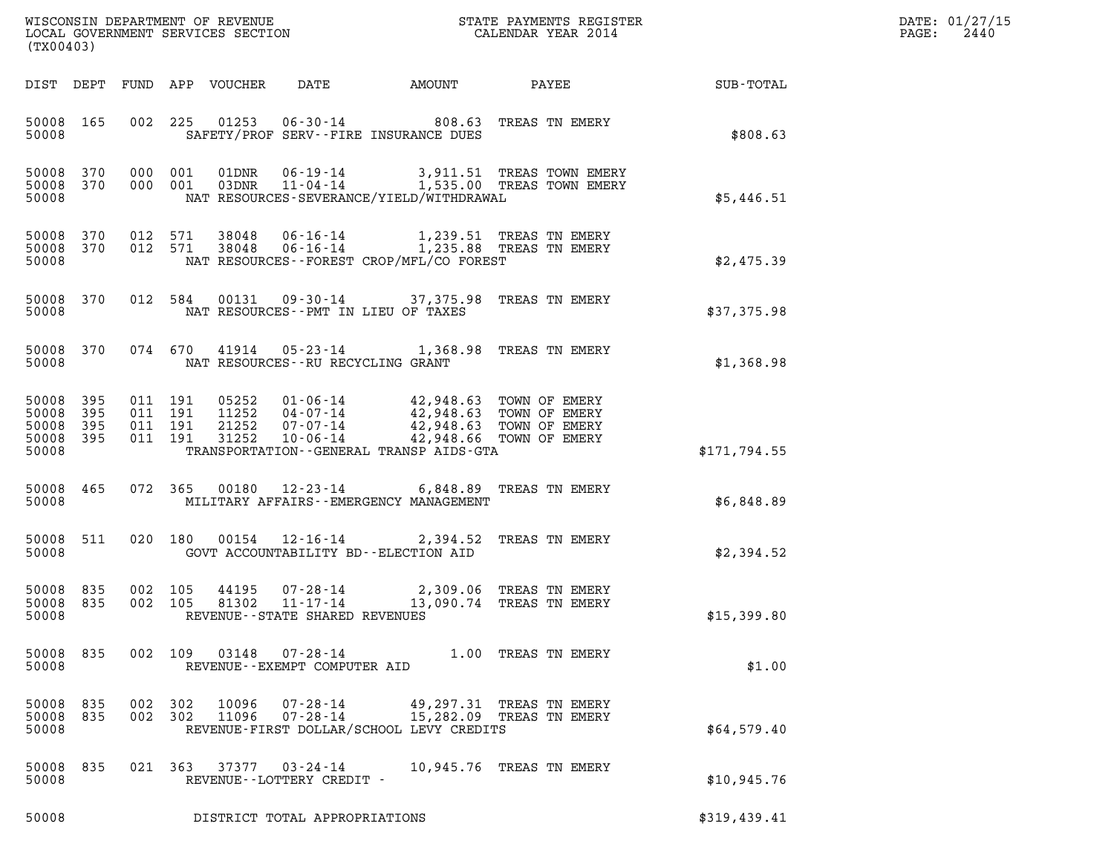| (TX00403)                                         |            |                               |         |                                 |                                                      |  |                                                                                                                                                                                                          |              | DATE: 01/27/15<br>2440<br>$\mathtt{PAGE:}$ |
|---------------------------------------------------|------------|-------------------------------|---------|---------------------------------|------------------------------------------------------|--|----------------------------------------------------------------------------------------------------------------------------------------------------------------------------------------------------------|--------------|--------------------------------------------|
|                                                   |            |                               |         | DIST DEPT FUND APP VOUCHER DATE |                                                      |  |                                                                                                                                                                                                          |              |                                            |
| 50008 165<br>50008                                |            |                               |         |                                 | SAFETY/PROF SERV--FIRE INSURANCE DUES                |  | 002 225 01253 06-30-14 808.63 TREAS TN EMERY                                                                                                                                                             | \$808.63     |                                            |
| 50008                                             | 50008 370  | 50008 370 000 001             |         |                                 | NAT RESOURCES-SEVERANCE/YIELD/WITHDRAWAL             |  | 000 001 01DNR 06-19-14 3,911.51 TREAS TOWN EMERY<br>000 001 03DNR 11-04-14 1,535.00 TREAS TOWN EMERY                                                                                                     | \$5,446.51   |                                            |
| 50008 370<br>50008                                |            | 012 571<br>50008 370 012 571  |         |                                 | NAT RESOURCES - - FOREST CROP/MFL/CO FOREST          |  |                                                                                                                                                                                                          | \$2,475.39   |                                            |
| 50008                                             |            |                               |         |                                 | NAT RESOURCES -- PMT IN LIEU OF TAXES                |  | 50008 370 012 584 00131 09-30-14 37,375.98 TREAS TN EMERY                                                                                                                                                | \$37,375.98  |                                            |
| 50008                                             |            |                               |         |                                 | NAT RESOURCES -- RU RECYCLING GRANT                  |  | 50008 370 074 670 41914 05-23-14 1,368.98 TREAS TN EMERY                                                                                                                                                 | \$1,368.98   |                                            |
| 50008 395<br>50008<br>50008<br>50008 395<br>50008 | 395<br>395 | 011 191<br>011 191<br>011 191 | 011 191 |                                 | TRANSPORTATION--GENERAL TRANSP AIDS-GTA              |  | 05252    01-06-14    42,948.63    TOWN OF EMERY<br>11252    04-07-14    42,948.63    TOWN OF EMERY<br>21252    07-07-14    42,948.63    TOWN OF EMERY<br>31252    10-06-14    42,948.66    TOWN OF EMERY | \$171,794.55 |                                            |
| 50008                                             | 50008 465  |                               |         |                                 | MILITARY AFFAIRS - - EMERGENCY MANAGEMENT            |  | 072 365 00180 12-23-14 6,848.89 TREAS TN EMERY                                                                                                                                                           | \$6,848.89   |                                            |
| 50008 511<br>50008                                |            |                               |         |                                 | GOVT ACCOUNTABILITY BD--ELECTION AID                 |  | 020 180 00154 12-16-14 2,394.52 TREAS TN EMERY                                                                                                                                                           | \$2,394.52   |                                            |
| 50008 835<br>50008 835<br>50008                   |            | 002 105<br>002 105            |         | 81302                           | 11-17-14<br>REVENUE - - STATE SHARED REVENUES        |  | 44195  07-28-14  2,309.06  TREAS TN EMERY<br>13,090.74 TREAS TN EMERY                                                                                                                                    | \$15,399.80  |                                            |
| 50008 835<br>50008                                |            |                               |         |                                 | REVENUE--EXEMPT COMPUTER AID                         |  | 002 109 03148 07-28-14 1.00 TREAS TN EMERY                                                                                                                                                               | \$1.00       |                                            |
| 50008 835<br>50008 835<br>50008                   |            | 002 302<br>002 302            |         | 10096<br>11096                  | 07-28-14<br>REVENUE-FIRST DOLLAR/SCHOOL LEVY CREDITS |  | 49,297.31 TREAS TN EMERY<br>07-28-14 15,282.09 TREAS TN EMERY                                                                                                                                            | \$64,579.40  |                                            |
| 50008 835<br>50008                                |            |                               |         |                                 | REVENUE--LOTTERY CREDIT -                            |  | 021 363 37377 03-24-14 10,945.76 TREAS TN EMERY                                                                                                                                                          | \$10,945.76  |                                            |
| 50008                                             |            |                               |         |                                 | DISTRICT TOTAL APPROPRIATIONS                        |  |                                                                                                                                                                                                          | \$319,439.41 |                                            |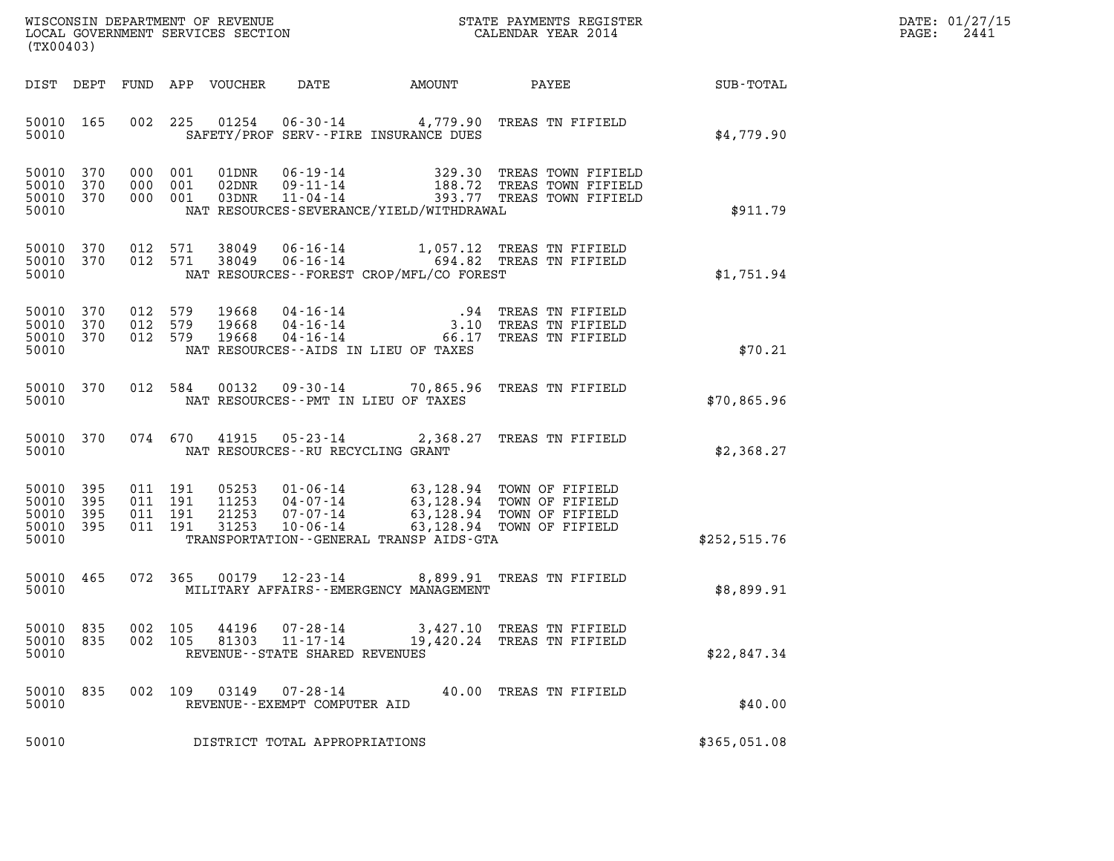| WISCONSIN DEPARTMENT OF REVENUE   | STATE PAYMENTS REGISTER | DATE: 01/27/15 |
|-----------------------------------|-------------------------|----------------|
| LOCAL GOVERNMENT SERVICES SECTION | CALENDAR YEAR 2014      | 2441<br>PAGE:  |

| (TX00403)                                         |            |     |                |                |                                                                       |                                          | WISCONSIN DEPARTMENT OF REVENUE<br>LOCAL GOVERNMENT SERVICES SECTION THE STATE PAYMENTS REGISTER<br>(TWOO403)                                                                                                |                                                             | DATE: 01/27/15<br>$\mathtt{PAGE:}$<br>2441 |
|---------------------------------------------------|------------|-----|----------------|----------------|-----------------------------------------------------------------------|------------------------------------------|--------------------------------------------------------------------------------------------------------------------------------------------------------------------------------------------------------------|-------------------------------------------------------------|--------------------------------------------|
|                                                   |            |     |                |                |                                                                       |                                          |                                                                                                                                                                                                              | DIST DEPT FUND APP VOUCHER DATE AMOUNT PAYEE PATE SUB-TOTAL |                                            |
| 50010 165<br>50010                                |            |     |                |                |                                                                       | SAFETY/PROF SERV--FIRE INSURANCE DUES    | 002 225 01254 06-30-14 4,779.90 TREAS TN FIFIELD                                                                                                                                                             | \$4,779.90                                                  |                                            |
| 50010 370<br>50010 370<br>50010 370<br>50010      |            |     |                |                |                                                                       | NAT RESOURCES-SEVERANCE/YIELD/WITHDRAWAL | 000 001 01DNR 06-19-14 329.30 TREAS TOWN FIFIELD<br>000 001 02DNR 09-11-14 188.72 TREAS TOWN FIFIELD<br>000 001 03DNR 11-04-14 393.77 TREAS TOWN FIFIELD                                                     | \$911.79                                                    |                                            |
| 50010 370<br>50010 370<br>50010                   |            |     |                |                |                                                                       | NAT RESOURCES--FOREST CROP/MFL/CO FOREST | 012 571 38049 06-16-14 1,057.12 TREAS TN FIFIELD<br>012 571 38049 06-16-14 694.82 TREAS TN FIFIELD                                                                                                           | \$1,751.94                                                  |                                            |
| 50010 370<br>50010 370<br>50010 370<br>50010      |            |     |                |                |                                                                       | NAT RESOURCES--AIDS IN LIEU OF TAXES     |                                                                                                                                                                                                              | \$70.21                                                     |                                            |
| 50010 370<br>50010                                |            |     |                |                |                                                                       | NAT RESOURCES -- PMT IN LIEU OF TAXES    | 012 584 00132 09-30-14 70,865.96 TREAS TN FIFIELD                                                                                                                                                            | \$70,865.96                                                 |                                            |
| 50010 370<br>50010                                |            |     |                |                | NAT RESOURCES -- RU RECYCLING GRANT                                   |                                          | 074 670 41915 05-23-14 2,368.27 TREAS TN FIFIELD                                                                                                                                                             | \$2,368.27                                                  |                                            |
| 50010 395<br>50010<br>50010<br>50010 395<br>50010 | 395<br>395 |     |                |                |                                                                       | TRANSPORTATION--GENERAL TRANSP AIDS-GTA  | 011 191 05253 01-06-14 63,128.94 TOWN OF FIFIELD<br>011 191 11253 04-07-14 63,128.94 TOWN OF FIFIELD<br>011 191 31253 07-07-14 63,128.94 TOWN OF FIFIELD<br>011 191 31253 10-06-14 63,128.94 TOWN OF FIFIELD | \$252,515.76                                                |                                            |
| 50010 465<br>50010                                |            |     |                |                |                                                                       | MILITARY AFFAIRS--EMERGENCY MANAGEMENT   | 072 365 00179 12-23-14 8,899.91 TREAS TN FIFIELD                                                                                                                                                             | \$8,899.91                                                  |                                            |
| 50010<br>50010<br>50010                           | 835<br>835 | 002 | 002 105<br>105 | 44196<br>81303 | $07 - 28 - 14$<br>$11 - 17 - 14$<br>REVENUE - - STATE SHARED REVENUES |                                          | 3,427.10 TREAS TN FIFIELD<br>19,420.24 TREAS TN FIFIELD                                                                                                                                                      | \$22,847.34                                                 |                                            |
| 50010<br>50010                                    | 835        |     | 002 109 03149  |                | $07 - 28 - 14$<br>REVENUE--EXEMPT COMPUTER AID                        |                                          | 40.00 TREAS TN FIFIELD                                                                                                                                                                                       | \$40.00                                                     |                                            |
| 50010                                             |            |     |                |                | DISTRICT TOTAL APPROPRIATIONS                                         |                                          |                                                                                                                                                                                                              | \$365,051.08                                                |                                            |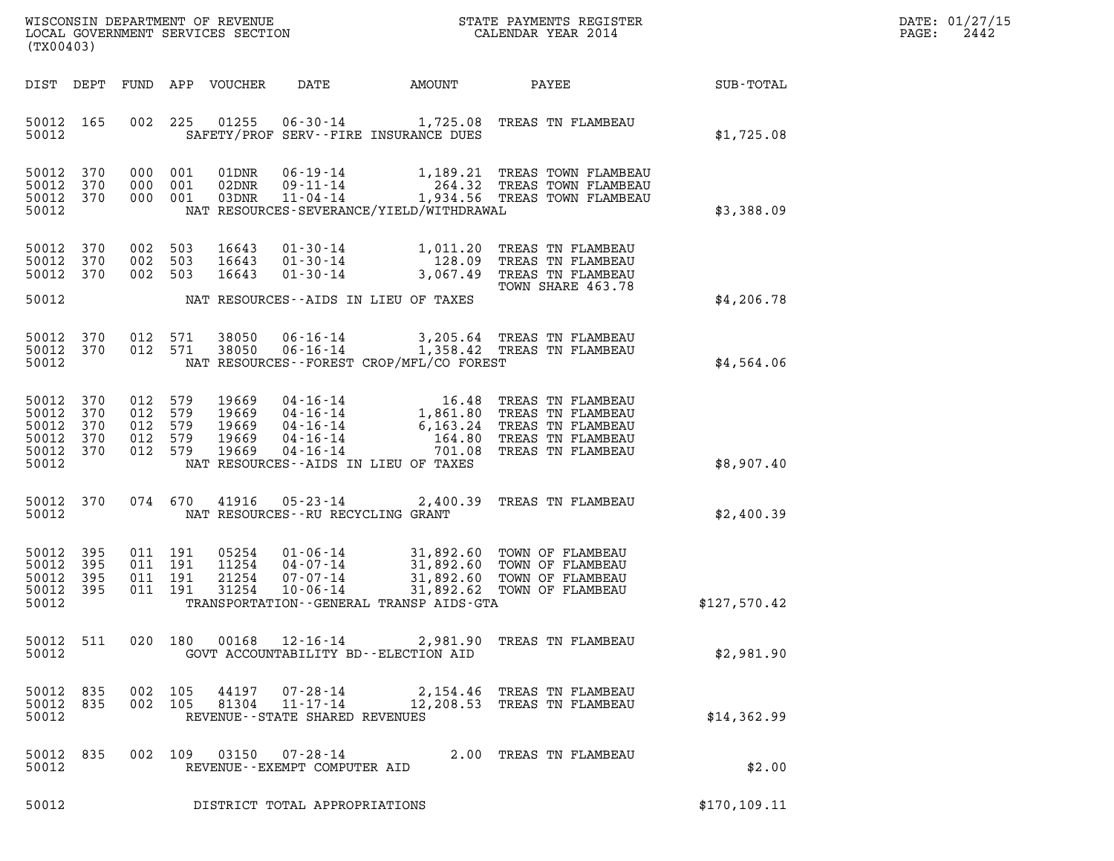| (TX00403)                                                  |                          |         |                                          | WISCONSIN DEPARTMENT OF REVENUE<br>LOCAL GOVERNMENT SERVICES SECTION |                                                                      |                                              | STATE PAYMENTS REGISTER<br>CALENDAR YEAR 2014                                                                                                                                                                                       |               | DATE: 01/27/15<br>2442<br>$\mathtt{PAGE:}$ |
|------------------------------------------------------------|--------------------------|---------|------------------------------------------|----------------------------------------------------------------------|----------------------------------------------------------------------|----------------------------------------------|-------------------------------------------------------------------------------------------------------------------------------------------------------------------------------------------------------------------------------------|---------------|--------------------------------------------|
|                                                            | DIST DEPT                |         |                                          | FUND APP VOUCHER                                                     | DATE                                                                 | AMOUNT                                       | <b>PAYEE</b> FOR THE STATE OF THE STATE OF THE STATE OF THE STATE OF THE STATE OF THE STATE OF THE STATE OF THE STATE OF THE STATE OF THE STATE OF THE STATE OF THE STATE OF THE STATE OF THE STATE OF THE STATE OF THE STATE OF TH | SUB-TOTAL     |                                            |
| 50012 165<br>50012                                         |                          |         | 002 225                                  | 01255                                                                |                                                                      | SAFETY/PROF SERV--FIRE INSURANCE DUES        | 06-30-14 1,725.08 TREAS TN FLAMBEAU                                                                                                                                                                                                 | \$1,725.08    |                                            |
| 50012 370<br>50012<br>50012 370<br>50012                   | 370                      | 000     | 000 001<br>001<br>000 001                | 01DNR<br>02DNR<br>03DNR                                              | 11-04-14                                                             | NAT RESOURCES-SEVERANCE/YIELD/WITHDRAWAL     | 06-19-14 1,189.21 TREAS TOWN FLAMBEAU<br>09-11-14 264.32 TREAS TOWN FLAMBEAU<br>1,934.56 TREAS TOWN FLAMBEAU                                                                                                                        | \$3,388.09    |                                            |
| 50012 370<br>50012<br>50012                                | 370<br>370               | 002     | 002 503<br>503<br>002 503                | 16643<br>16643<br>16643                                              | $01 - 30 - 14$<br>$01 - 30 - 14$                                     | 128.09                                       | 01-30-14 1,011.20 TREAS TN FLAMBEAU<br>TREAS TN FLAMBEAU<br>3,067.49 TREAS TN FLAMBEAU<br>TOWN SHARE 463.78                                                                                                                         |               |                                            |
| 50012                                                      |                          |         |                                          |                                                                      |                                                                      | NAT RESOURCES--AIDS IN LIEU OF TAXES         |                                                                                                                                                                                                                                     | \$4,206.78    |                                            |
| 50012<br>50012 370<br>50012                                | 370                      | 012     | 571<br>012 571                           | 38050<br>38050                                                       |                                                                      | NAT RESOURCES--FOREST CROP/MFL/CO FOREST     | 06-16-14 3,205.64 TREAS TN FLAMBEAU<br>06-16-14 1,358.42 TREAS TN FLAMBEAU                                                                                                                                                          | \$4,564.06    |                                            |
| 50012 370<br>50012<br>50012<br>50012<br>50012 370<br>50012 | 370<br>370<br>370        | 012 579 | 012 579<br>012 579<br>012 579<br>012 579 | 19669<br>19669<br>19669<br>19669<br>19669                            | 04-16-14                                                             | NAT RESOURCES--AIDS IN LIEU OF TAXES         | 04-16-14<br>04-16-14<br>04-16-14<br>04-16-14<br>04-16-14<br>04-16-14<br>04-16-14<br>04-16-14<br>04-16-14<br>04-16-14<br>04-16-14<br>04-16-14<br>04-16-14<br>04-16-11<br>701.08 TREAS TN FLAMBEAU                                    | \$8,907.40    |                                            |
| 50012 370<br>50012                                         |                          |         |                                          | 074 670 41916                                                        | NAT RESOURCES--RU RECYCLING GRANT                                    |                                              | 05-23-14 2,400.39 TREAS TN FLAMBEAU                                                                                                                                                                                                 | \$2,400.39    |                                            |
| 50012<br>50012<br>50012<br>50012<br>50012                  | 395<br>395<br>395<br>395 |         | 011 191<br>011 191<br>011 191<br>011 191 | 05254<br>11254<br>21254<br>31254                                     | $01 - 06 - 14$<br>$04 - 07 - 14$<br>$07 - 07 - 14$<br>$10 - 06 - 14$ | TRANSPORTATION - - GENERAL TRANSP AIDS - GTA | 31,892.60 TOWN OF FLAMBEAU<br>31,892.60 TOWN OF FLAMBEAU<br>31,892.60 TOWN OF FLAMBEAU<br>31,892.62 TOWN OF FLAMBEAU                                                                                                                | \$127,570.42  |                                            |
| 50012                                                      | 50012 511                |         |                                          |                                                                      |                                                                      | GOVT ACCOUNTABILITY BD--ELECTION AID         | 020 180 00168 12-16-14 2,981.90 TREAS TN FLAMBEAU                                                                                                                                                                                   | \$2,981.90    |                                            |
| 50012 835<br>50012 835<br>50012                            |                          |         | 002 105<br>002 105                       | 44197<br>81304                                                       | 07-28-14<br>$11 - 17 - 14$<br>REVENUE--STATE SHARED REVENUES         |                                              | 2,154.46 TREAS TN FLAMBEAU<br>12,208.53 TREAS TN FLAMBEAU                                                                                                                                                                           | \$14,362.99   |                                            |
| 50012 835<br>50012                                         |                          |         |                                          |                                                                      | 002 109 03150 07-28-14<br>REVENUE--EXEMPT COMPUTER AID               |                                              | 2.00 TREAS TN FLAMBEAU                                                                                                                                                                                                              | \$2.00        |                                            |
| 50012                                                      |                          |         |                                          |                                                                      | DISTRICT TOTAL APPROPRIATIONS                                        |                                              |                                                                                                                                                                                                                                     | \$170, 109.11 |                                            |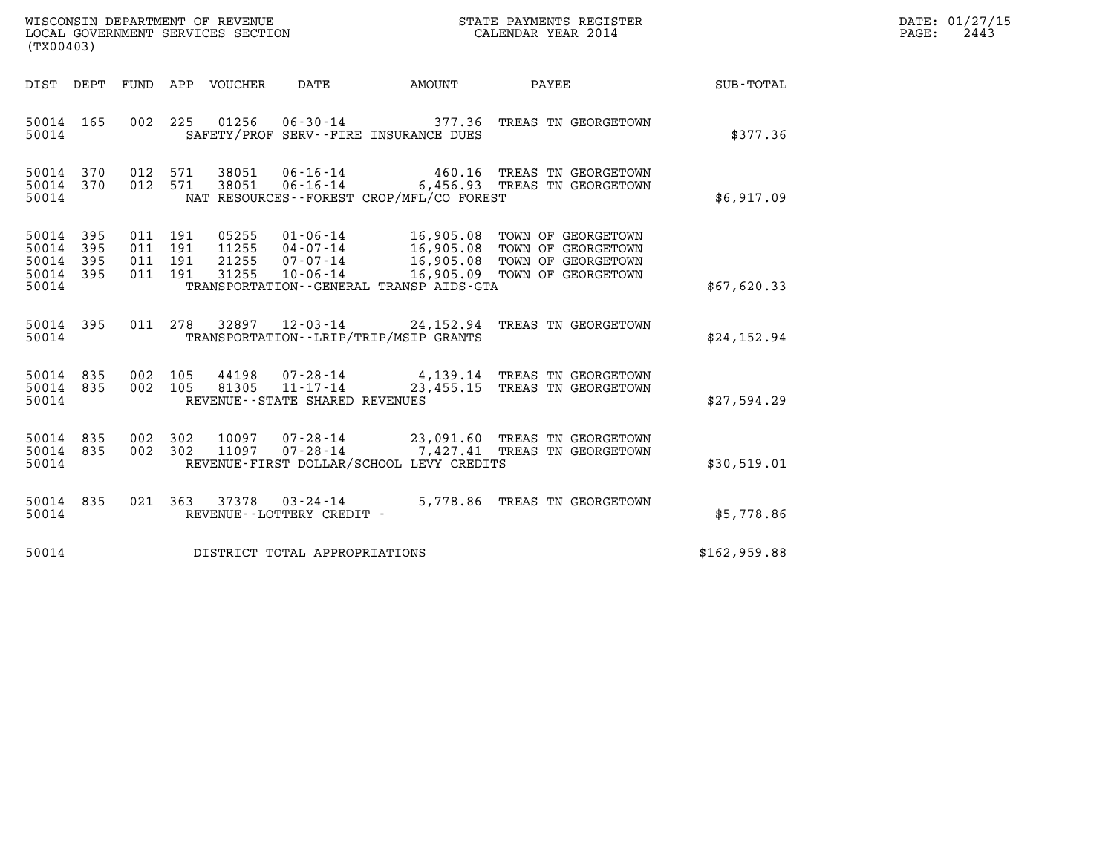| WISCONSIN DEPARTMENT OF REVENUE   | STATE PAYMENTS REGISTER | DATE: 01/27/15 |
|-----------------------------------|-------------------------|----------------|
| LOCAL GOVERNMENT SERVICES SECTION | CALENDAR YEAR 2014      | 2443<br>PAGE:  |

| (TX00403)                                                                                         |                                                                                                                                                                                                                                                                                                                       |                  |
|---------------------------------------------------------------------------------------------------|-----------------------------------------------------------------------------------------------------------------------------------------------------------------------------------------------------------------------------------------------------------------------------------------------------------------------|------------------|
| DIST<br>DEPT<br>FUND                                                                              | APP<br>VOUCHER<br><b>DATE</b><br>AMOUNT<br>PAYEE                                                                                                                                                                                                                                                                      | <b>SUB-TOTAL</b> |
| 002<br>50014<br>165<br>50014                                                                      | 225<br>01256<br>06-30-14 377.36 TREAS TN GEORGETOWN<br>SAFETY/PROF SERV--FIRE INSURANCE DUES                                                                                                                                                                                                                          | \$377.36         |
| 370<br>012<br>50014<br>370<br>012<br>50014<br>50014                                               | 38051<br>$06 - 16 - 14$ 460.16<br>571<br>TREAS TN GEORGETOWN<br>06-16-14 6,456.93 TREAS TN GEORGETOWN<br>571<br>38051<br>NAT RESOURCES - - FOREST CROP/MFL/CO FOREST                                                                                                                                                  | \$6,917.09       |
| 395<br>011<br>50014<br>50014<br>395<br>011<br>395<br>011<br>50014<br>395<br>50014<br>011<br>50014 | 191<br>05255<br>01-06-14<br>16,905.08<br>TOWN OF GEORGETOWN<br>191<br>11255<br>$04 - 07 - 14$<br>16,905.08<br>TOWN OF GEORGETOWN<br>191<br>21255<br>$07 - 07 - 14$<br>16,905.08<br>TOWN OF GEORGETOWN<br>31255<br>191<br>$10 - 06 - 14$<br>16,905.09<br>TOWN OF GEORGETOWN<br>TRANSPORTATION--GENERAL TRANSP AIDS-GTA | \$67,620.33      |
| 395<br>011<br>50014<br>50014                                                                      | 278<br>32897 12-03-14 24,152.94<br>TREAS TN GEORGETOWN<br>TRANSPORTATION - - LRIP/TRIP/MSIP GRANTS                                                                                                                                                                                                                    | \$24,152.94      |
| 50014<br>835<br>002<br>50014<br>835<br>002<br>50014                                               | 105<br>44198<br>07-28-14 4,139.14 TREAS TN GEORGETOWN<br>11-17-14 23,455.15 TREAS TN GEORGETOWN<br>105<br>81305<br>REVENUE - - STATE SHARED REVENUES                                                                                                                                                                  | \$27,594.29      |
| 50014<br>835<br>002<br>835<br>50014<br>002<br>50014                                               | 302<br>10097<br>07-28-14 23,091.60 TREAS TN GEORGETOWN<br>302<br>07-28-14 7,427.41 TREAS TN GEORGETOWN<br>11097<br>REVENUE-FIRST DOLLAR/SCHOOL LEVY CREDITS                                                                                                                                                           | \$30,519.01      |
| 835<br>021<br>50014<br>50014                                                                      | 363<br>37378<br>5,778.86 TREAS TN GEORGETOWN<br>$03 - 24 - 14$<br>REVENUE--LOTTERY CREDIT -                                                                                                                                                                                                                           | \$5,778.86       |
| 50014                                                                                             | DISTRICT TOTAL APPROPRIATIONS                                                                                                                                                                                                                                                                                         | \$162,959.88     |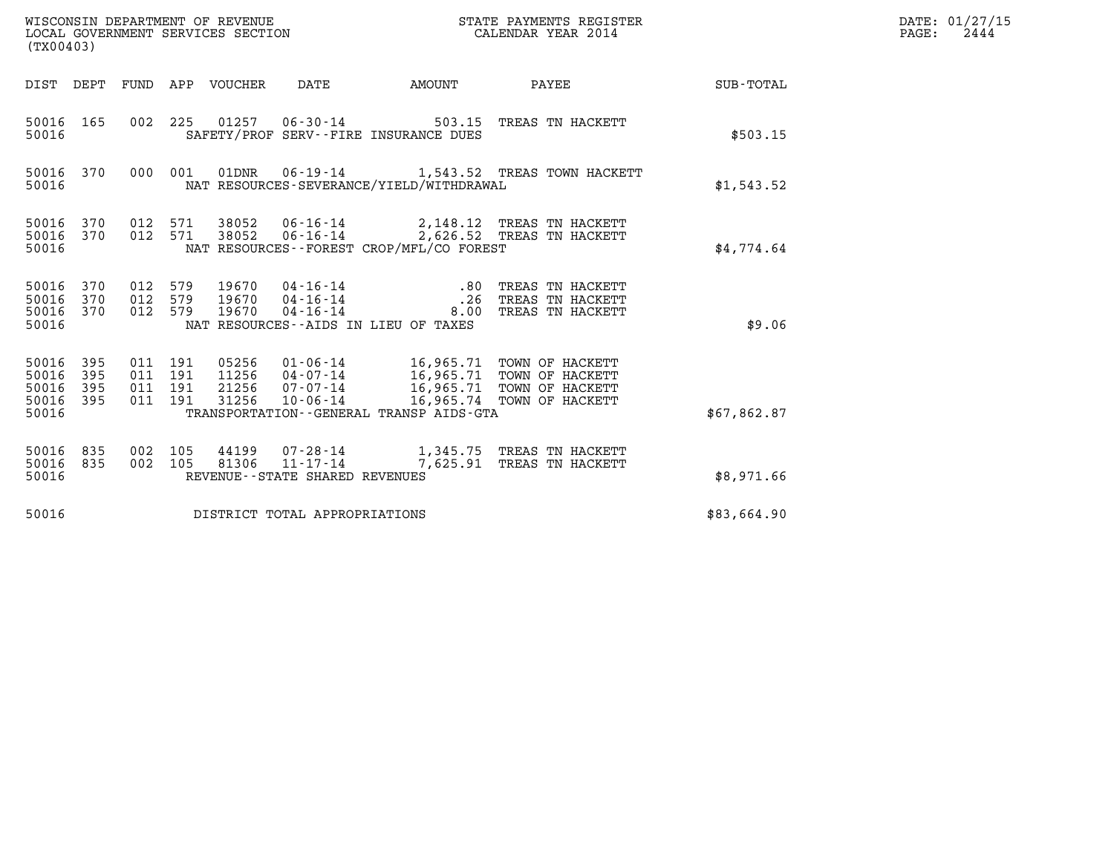| (TX00403)                                 |                          |                                  |            | WISCONSIN DEPARTMENT OF REVENUE<br>LOCAL GOVERNMENT SERVICES SECTION |                                                                 |                                                      | STATE PAYMENTS REGISTER<br>CALENDAR YEAR 2014                                                                                      |             | DATE: 01/27/15<br>PAGE:<br>2444 |
|-------------------------------------------|--------------------------|----------------------------------|------------|----------------------------------------------------------------------|-----------------------------------------------------------------|------------------------------------------------------|------------------------------------------------------------------------------------------------------------------------------------|-------------|---------------------------------|
| DIST DEPT                                 |                          | FUND                             |            | APP VOUCHER                                                          | DATE                                                            | AMOUNT                                               | PAYEE                                                                                                                              | SUB-TOTAL   |                                 |
| 50016<br>50016                            | 165                      | 002 225                          |            | 01257                                                                | $06 - 30 - 14$                                                  | SAFETY/PROF SERV--FIRE INSURANCE DUES                | 503.15 TREAS TN HACKETT                                                                                                            | \$503.15    |                                 |
| 50016 370<br>50016                        |                          |                                  | 000 001    |                                                                      |                                                                 | NAT RESOURCES-SEVERANCE/YIELD/WITHDRAWAL             |                                                                                                                                    | \$1,543.52  |                                 |
| 50016<br>50016 370<br>50016               | 370                      | 012 571<br>012 571               |            | 38052<br>38052                                                       |                                                                 | NAT RESOURCES--FOREST CROP/MFL/CO FOREST             | 06-16-14 2,148.12 TREAS TN HACKETT<br>06-16-14 2,626.52 TREAS TN HACKETT                                                           | \$4,774.64  |                                 |
| 50016<br>50016<br>50016 370<br>50016      | 370<br>370               | 012<br>012<br>012 579            | 579<br>579 | 19670<br>19670<br>19670                                              | 04-16-14<br>$04 - 16 - 14$<br>$04 - 16 - 14$                    | .80<br>.26<br>NAT RESOURCES -- AIDS IN LIEU OF TAXES | TREAS TN HACKETT<br>TREAS TN HACKETT<br>8.00 TREAS TN HACKETT                                                                      | \$9.06      |                                 |
| 50016<br>50016<br>50016<br>50016<br>50016 | 395<br>395<br>395<br>395 | 011 191<br>011<br>011<br>011 191 | 191<br>191 | 05256<br>11256<br>21256<br>31256                                     | $07 - 07 - 14$<br>$10 - 06 - 14$                                | TRANSPORTATION--GENERAL TRANSP AIDS-GTA              | 01-06-14 16,965.71 TOWN OF HACKETT<br>04-07-14 16,965.71 TOWN OF HACKETT<br>16,965.71 TOWN OF HACKETT<br>16,965.74 TOWN OF HACKETT | \$67,862.87 |                                 |
| 50016<br>50016<br>50016                   | 835<br>835               | 002<br>002                       | 105<br>105 | 44199<br>81306                                                       | 07-28-14<br>$11 - 17 - 14$<br>REVENUE - - STATE SHARED REVENUES |                                                      | 1,345.75 TREAS TN HACKETT<br>7,625.91 TREAS TN HACKETT                                                                             | \$8,971.66  |                                 |
| 50016                                     |                          |                                  |            |                                                                      | DISTRICT TOTAL APPROPRIATIONS                                   |                                                      |                                                                                                                                    | \$83,664.90 |                                 |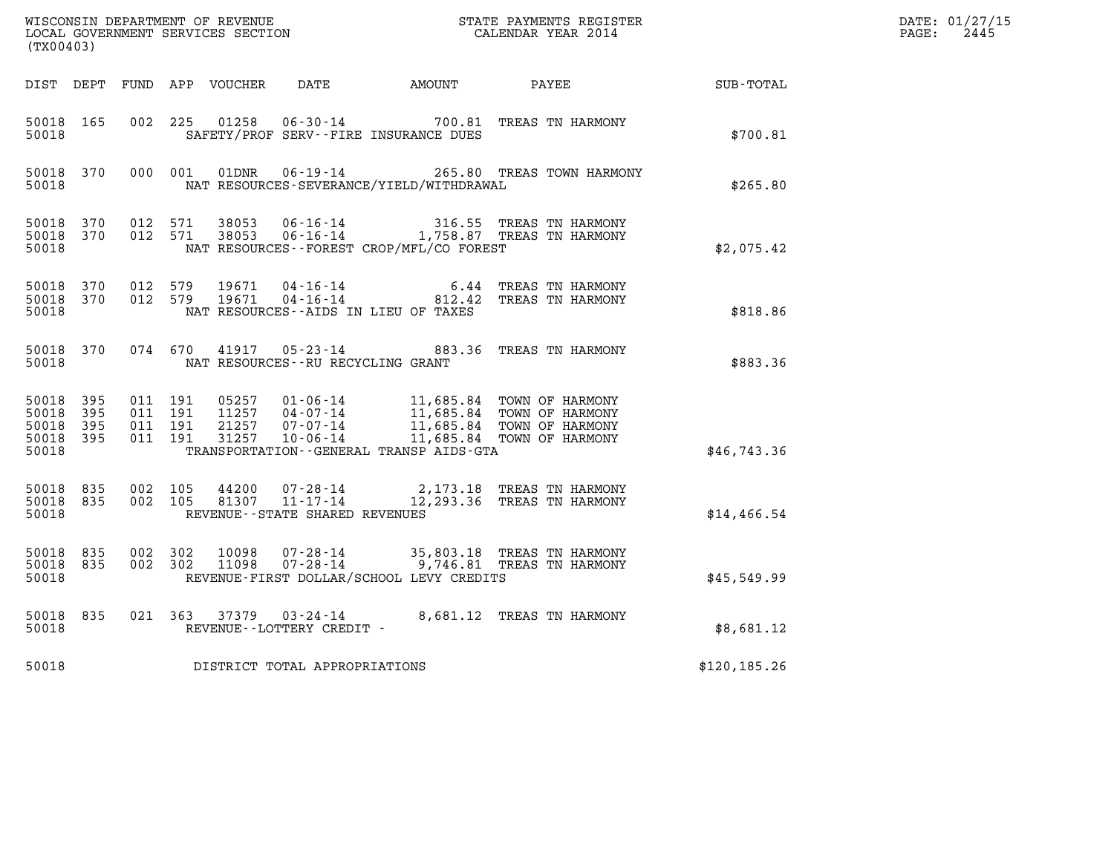| (TX00403)                                     |                     |                                          |                |                                                           |                                              |                                                                                                                                                                        |                      | DATE: 01/27/15<br>$\mathtt{PAGE:}$<br>2445 |
|-----------------------------------------------|---------------------|------------------------------------------|----------------|-----------------------------------------------------------|----------------------------------------------|------------------------------------------------------------------------------------------------------------------------------------------------------------------------|----------------------|--------------------------------------------|
|                                               |                     |                                          |                |                                                           | DIST DEPT FUND APP VOUCHER DATE AMOUNT PAYEE |                                                                                                                                                                        | $\texttt{SUB-TOTAL}$ |                                            |
| 50018 165<br>50018                            |                     | 002 225                                  | 01258          |                                                           | SAFETY/PROF SERV--FIRE INSURANCE DUES        | 06-30-14 700.81 TREAS TN HARMONY                                                                                                                                       | \$700.81             |                                            |
| 50018 370<br>50018                            |                     | 000 001                                  | 01DNR          |                                                           | NAT RESOURCES-SEVERANCE/YIELD/WITHDRAWAL     | 06-19-14 265.80 TREAS TOWN HARMONY                                                                                                                                     | \$265.80             |                                            |
| 50018 370<br>50018<br>50018                   | 370                 | 012 571<br>012 571                       | 38053<br>38053 | 06-16-14                                                  | NAT RESOURCES--FOREST CROP/MFL/CO FOREST     | 316.55 TREAS TN HARMONY<br>06-16-14 1,758.87 TREAS TN HARMONY                                                                                                          | \$2,075.42           |                                            |
| 50018 370<br>50018 370<br>50018               |                     | 012 579<br>012 579                       | 19671<br>19671 |                                                           | NAT RESOURCES -- AIDS IN LIEU OF TAXES       | 04-16-14 6.44 TREAS TN HARMONY<br>04-16-14 812.42 TREAS TN HARMONY                                                                                                     | \$818.86             |                                            |
| 50018 370<br>50018                            |                     | 074 670                                  |                | 41917 05-23-14<br>NAT RESOURCES - - RU RECYCLING GRANT    |                                              | 883.36 TREAS TN HARMONY                                                                                                                                                | \$883.36             |                                            |
| 50018 395<br>50018<br>50018<br>50018<br>50018 | 395<br>395<br>- 395 | 011 191<br>011 191<br>011 191<br>011 191 | 31257          | 10-06-14                                                  | TRANSPORTATION--GENERAL TRANSP AIDS-GTA      | 05257  01-06-14  11,685.84  TOWN OF HARMONY<br>11257  04-07-14  11,685.84  TOWN OF HARMONY<br>21257  07-07-14  11,685.84  TOWN OF HARMONY<br>11,685.84 TOWN OF HARMONY | \$46,743.36          |                                            |
| 50018<br>50018<br>50018                       | 835<br>835          | 002 105<br>002 105                       | 44200<br>81307 | 07-28-14<br>11-17-14<br>REVENUE - - STATE SHARED REVENUES |                                              | 2,173.18 TREAS TN HARMONY<br>12,293.36 TREAS TN HARMONY                                                                                                                | \$14,466.54          |                                            |
| 50018 835<br>50018 835<br>50018               |                     | 002 302<br>002 302                       | 10098<br>11098 |                                                           | REVENUE-FIRST DOLLAR/SCHOOL LEVY CREDITS     | 07-28-14 35,803.18 TREAS TN HARMONY<br>07-28-14 99,746.81 TREAS TN HARMONY                                                                                             | \$45,549.99          |                                            |
| 50018 835<br>50018                            |                     |                                          |                | REVENUE--LOTTERY CREDIT -                                 |                                              | 021  363  37379  03-24-14  8,681.12  TREAS TN HARMONY                                                                                                                  | \$8,681.12           |                                            |
| 50018                                         |                     |                                          |                | DISTRICT TOTAL APPROPRIATIONS                             |                                              |                                                                                                                                                                        | \$120, 185.26        |                                            |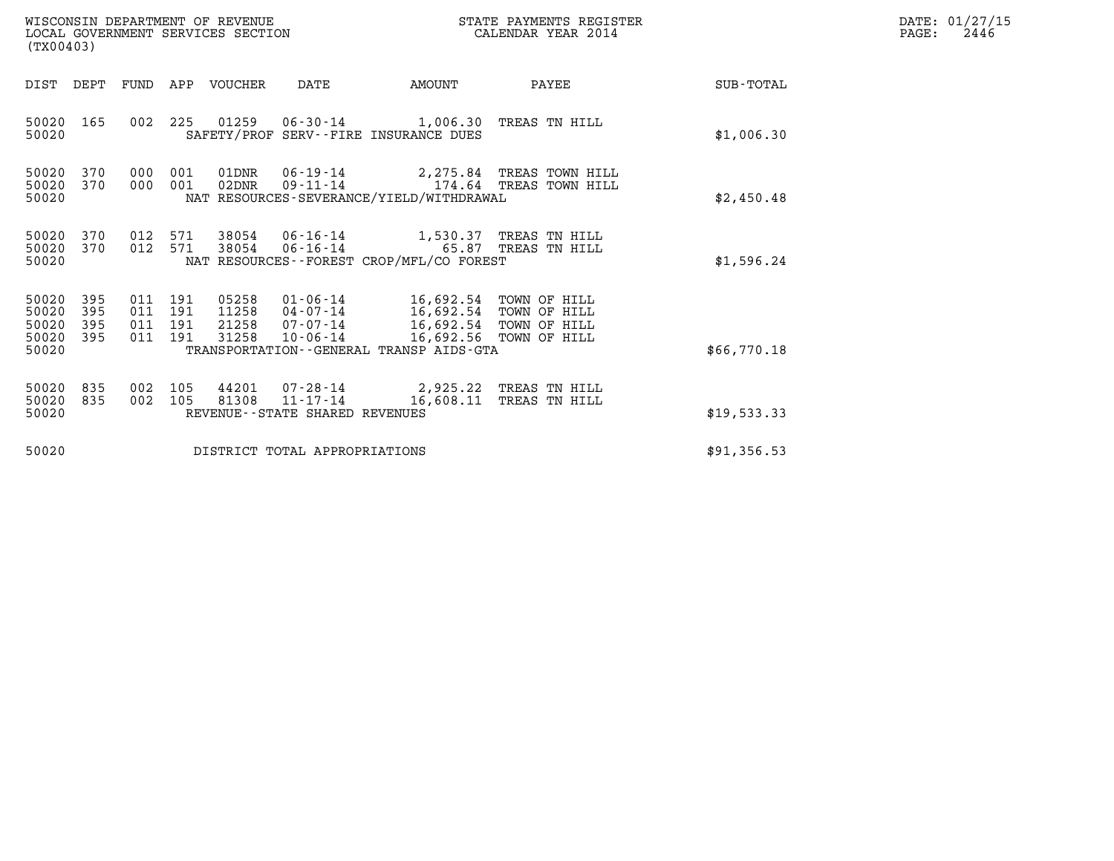| (TX00403)                                 |                          |                                  |            | WISCONSIN DEPARTMENT OF REVENUE<br>LOCAL GOVERNMENT SERVICES SECTION |                                                                                                           | STATE PAYMENTS REGISTER<br>CALENDAR YEAR 2014 |                                                                                                      |             | DATE: 01/27/15<br>PAGE:<br>2446 |
|-------------------------------------------|--------------------------|----------------------------------|------------|----------------------------------------------------------------------|-----------------------------------------------------------------------------------------------------------|-----------------------------------------------|------------------------------------------------------------------------------------------------------|-------------|---------------------------------|
| DIST DEPT                                 |                          |                                  |            | FUND APP VOUCHER                                                     | DATE                                                                                                      | AMOUNT                                        | PAYEE                                                                                                | SUB-TOTAL   |                                 |
| 50020 165<br>50020                        |                          | 002                              | 225        |                                                                      | 01259  06-30-14  1,006.30  TREAS TN HILL<br>SAFETY/PROF SERV--FIRE INSURANCE DUES                         |                                               |                                                                                                      | \$1,006.30  |                                 |
| 50020<br>50020<br>50020                   | 370<br>370               | 000<br>000                       | 001<br>001 | 01DNR<br>02DNR                                                       | $06 - 19 - 14$<br>$09 - 11 - 14$<br>NAT RESOURCES-SEVERANCE/YIELD/WITHDRAWAL                              |                                               | 2,275.84 TREAS TOWN HILL<br>174.64 TREAS TOWN HILL                                                   | \$2,450.48  |                                 |
| 50020<br>50020<br>50020                   | 370<br>370               | 012<br>012 571                   | 571        | 38054                                                                | 38054  06-16-14  1,530.37  TREAS TN HILL<br>$06 - 16 - 14$<br>NAT RESOURCES - - FOREST CROP/MFL/CO FOREST |                                               | 65.87 TREAS TN HILL                                                                                  | \$1,596.24  |                                 |
| 50020<br>50020<br>50020<br>50020<br>50020 | 395<br>395<br>395<br>395 | 011 191<br>011<br>011<br>011 191 | 191<br>191 | 05258<br>11258<br>21258<br>31258                                     | $01 - 06 - 14$<br>04-07-14<br>07-07-14<br>$10 - 06 - 14$<br>TRANSPORTATION--GENERAL TRANSP AIDS-GTA       |                                               | 16,692.54 TOWN OF HILL<br>16,692.54 TOWN OF HILL<br>16,692.54 TOWN OF HILL<br>16,692.56 TOWN OF HILL | \$66,770.18 |                                 |
| 50020<br>50020<br>50020                   | 835<br>835               | 002<br>002                       | 105<br>105 | 44201<br>81308                                                       | 07-28-14 2,925.22 TREAS TN HILL<br>11-17-14<br>REVENUE--STATE SHARED REVENUES                             | 16,608.11                                     | TREAS TN HILL                                                                                        | \$19,533.33 |                                 |
| 50020                                     |                          |                                  |            |                                                                      | DISTRICT TOTAL APPROPRIATIONS                                                                             |                                               |                                                                                                      | \$91,356.53 |                                 |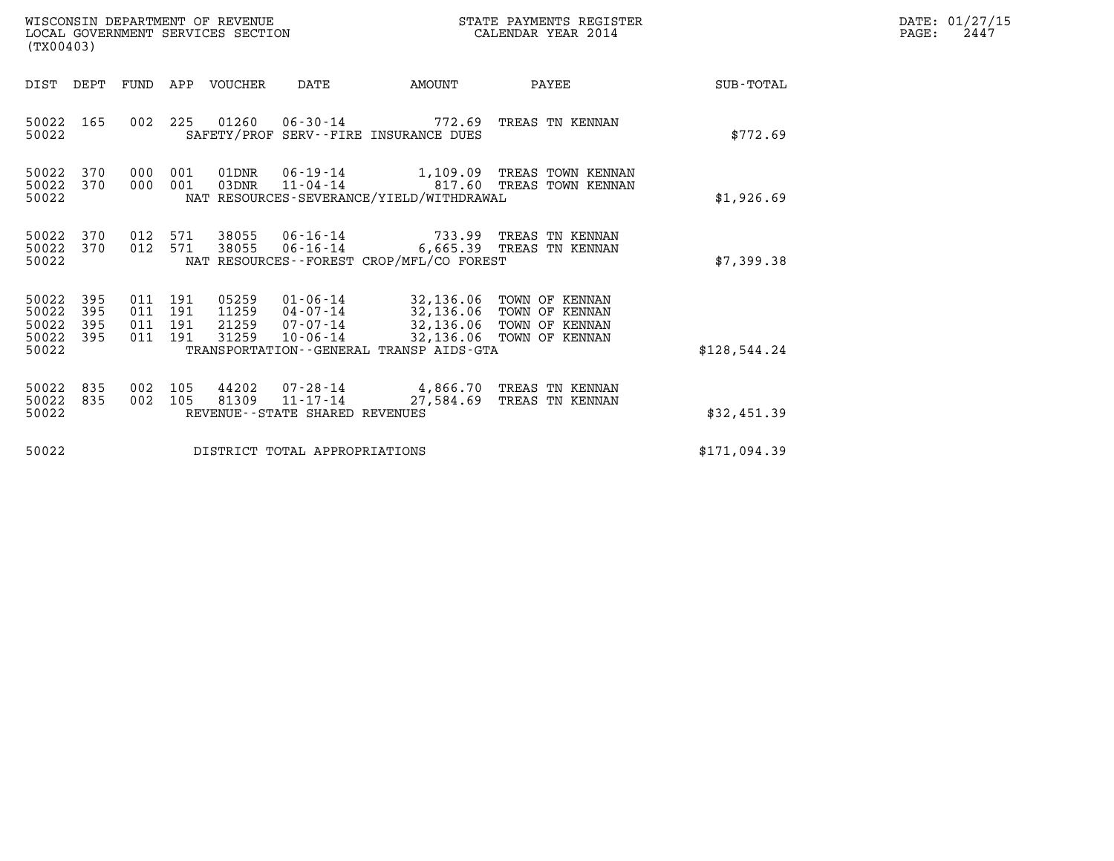| (TX00403)                                 |                          |                              |                   | WISCONSIN DEPARTMENT OF REVENUE<br>LOCAL GOVERNMENT SERVICES SECTION |                                                              |                                                                                                                                           | STATE PAYMENTS REGISTER<br>CALENDAR YEAR 2014                            |              | DATE: 01/27/15<br>$\mathtt{PAGE}$ :<br>2447 |
|-------------------------------------------|--------------------------|------------------------------|-------------------|----------------------------------------------------------------------|--------------------------------------------------------------|-------------------------------------------------------------------------------------------------------------------------------------------|--------------------------------------------------------------------------|--------------|---------------------------------------------|
| DIST DEPT                                 |                          |                              |                   | FUND APP VOUCHER                                                     | DATE                                                         | AMOUNT                                                                                                                                    | PAYEE                                                                    | SUB-TOTAL    |                                             |
| 50022<br>50022                            | 165                      |                              |                   |                                                                      | 002 225 01260 06-30-14                                       | SAFETY/PROF SERV--FIRE INSURANCE DUES                                                                                                     | 772.69 TREAS TN KENNAN                                                   | \$772.69     |                                             |
| 50022<br>50022<br>50022                   | 370<br>370               | 000<br>000                   | 001<br>001        | 01DNR<br>03DNR                                                       |                                                              | NAT RESOURCES-SEVERANCE/YIELD/WITHDRAWAL                                                                                                  | 06-19-14 1,109.09 TREAS TOWN KENNAN<br>11-04-14 617.60 TREAS TOWN KENNAN | \$1,926.69   |                                             |
| 50022<br>50022<br>50022                   | 370<br>370               | 012<br>012 571               | 571               | 38055<br>38055                                                       | $06 - 16 - 14$                                               | NAT RESOURCES - - FOREST CROP/MFL/CO FOREST                                                                                               | 06-16-14 733.99 TREAS TN KENNAN<br>6,665.39 TREAS TN KENNAN              | \$7,399.38   |                                             |
| 50022<br>50022<br>50022<br>50022<br>50022 | 395<br>395<br>395<br>395 | 011<br>011<br>011<br>011 191 | 191<br>191<br>191 | 05259<br>11259<br>21259<br>31259                                     | 04-07-14<br>07-07-14<br>10-06-14                             | 01-06-14 32,136.06 TOWN OF KENNAN<br>32,136.06 TOWN OF KENNAN<br>32,136.06 TOWN OF KENNAN<br>TRANSPORTATION - - GENERAL TRANSP AIDS - GTA | 32,136.06 TOWN OF KENNAN                                                 | \$128,544.24 |                                             |
| 50022<br>50022<br>50022                   | 835<br>835               | 002<br>002                   | 105<br>105        | 44202<br>81309                                                       | 07-28-14<br>$11 - 17 - 14$<br>REVENUE--STATE SHARED REVENUES |                                                                                                                                           | 4,866.70 TREAS TN KENNAN<br>27,584.69 TREAS TN KENNAN                    | \$32,451.39  |                                             |

50022 DISTRICT TOTAL APPROPRIATIONS \$171,094.39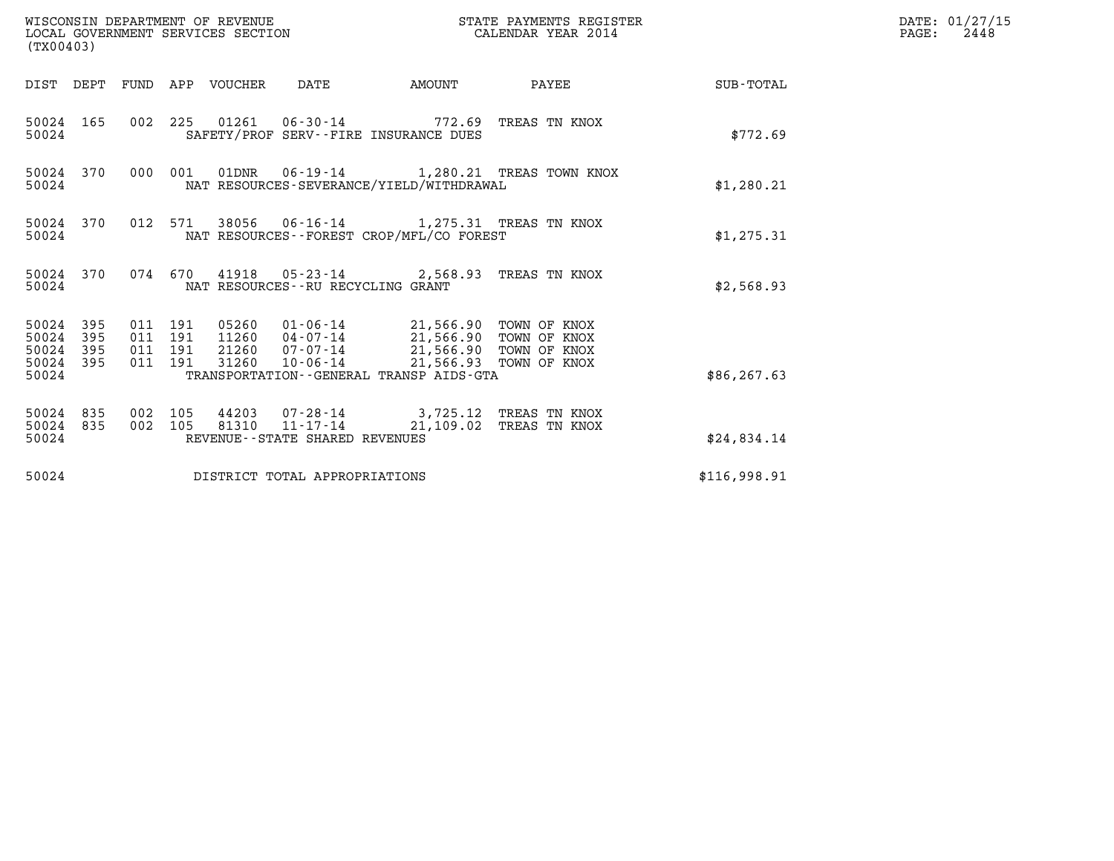| (TX00403)                                |                  |                                          |         | WISCONSIN DEPARTMENT OF REVENUE<br>LOCAL GOVERNMENT SERVICES SECTION |                                   |                                                                                                                                                                                                                     | STATE PAYMENTS REGISTER<br>CALENDAR YEAR 2014 |                 | DATE: 01/27/15<br>$\mathtt{PAGE:}$<br>2448 |
|------------------------------------------|------------------|------------------------------------------|---------|----------------------------------------------------------------------|-----------------------------------|---------------------------------------------------------------------------------------------------------------------------------------------------------------------------------------------------------------------|-----------------------------------------------|-----------------|--------------------------------------------|
|                                          |                  |                                          |         | DIST DEPT FUND APP VOUCHER DATE                                      |                                   | AMOUNT                                                                                                                                                                                                              |                                               | PAYEE SUB-TOTAL |                                            |
| 50024                                    | 50024 165        |                                          |         |                                                                      |                                   | 002 225 01261 06-30-14 772.69 TREAS TN KNOX<br>SAFETY/PROF SERV--FIRE INSURANCE DUES                                                                                                                                |                                               | \$772.69        |                                            |
| 50024                                    | 50024 370        |                                          | 000 001 |                                                                      |                                   | NAT RESOURCES-SEVERANCE/YIELD/WITHDRAWAL                                                                                                                                                                            | 01DNR  06-19-14   1,280.21 TREAS TOWN KNOX    | \$1,280.21      |                                            |
| 50024                                    | 50024 370        |                                          |         |                                                                      |                                   | 012 571 38056 06-16-14 1,275.31 TREAS TN KNOX<br>NAT RESOURCES--FOREST CROP/MFL/CO FOREST                                                                                                                           |                                               | \$1, 275.31     |                                            |
| 50024                                    | 50024 370        |                                          |         |                                                                      | NAT RESOURCES--RU RECYCLING GRANT | 074 670 41918 05-23-14 2,568.93 TREAS TN KNOX                                                                                                                                                                       |                                               | \$2,568.93      |                                            |
| 50024 395<br>50024<br>50024 395<br>50024 | 395<br>50024 395 | 011 191<br>011 191<br>011 191<br>011 191 |         |                                                                      |                                   | 05260  01-06-14  21,566.90  TOWN OF KNOX<br>11260 04-07-14 21,566.90 TOWN OF KNOX<br>21260 07-07-14 21,566.90 TOWN OF KNOX<br>31260 10-06-14 21,566.93 TOWN OF KNOX<br>TRANSPORTATION - - GENERAL TRANSP AIDS - GTA |                                               | \$86, 267.63    |                                            |
| 50024 835<br>50024                       | 50024 835        | 002 105<br>002 105                       |         |                                                                      | REVENUE--STATE SHARED REVENUES    | 44203  07-28-14  3,725.12  TREAS TN KNOX<br>81310  11-17-14  21,109.02  TREAS TN KNOX                                                                                                                               |                                               | \$24,834.14     |                                            |
| 50024                                    |                  |                                          |         |                                                                      | DISTRICT TOTAL APPROPRIATIONS     |                                                                                                                                                                                                                     |                                               | \$116,998.91    |                                            |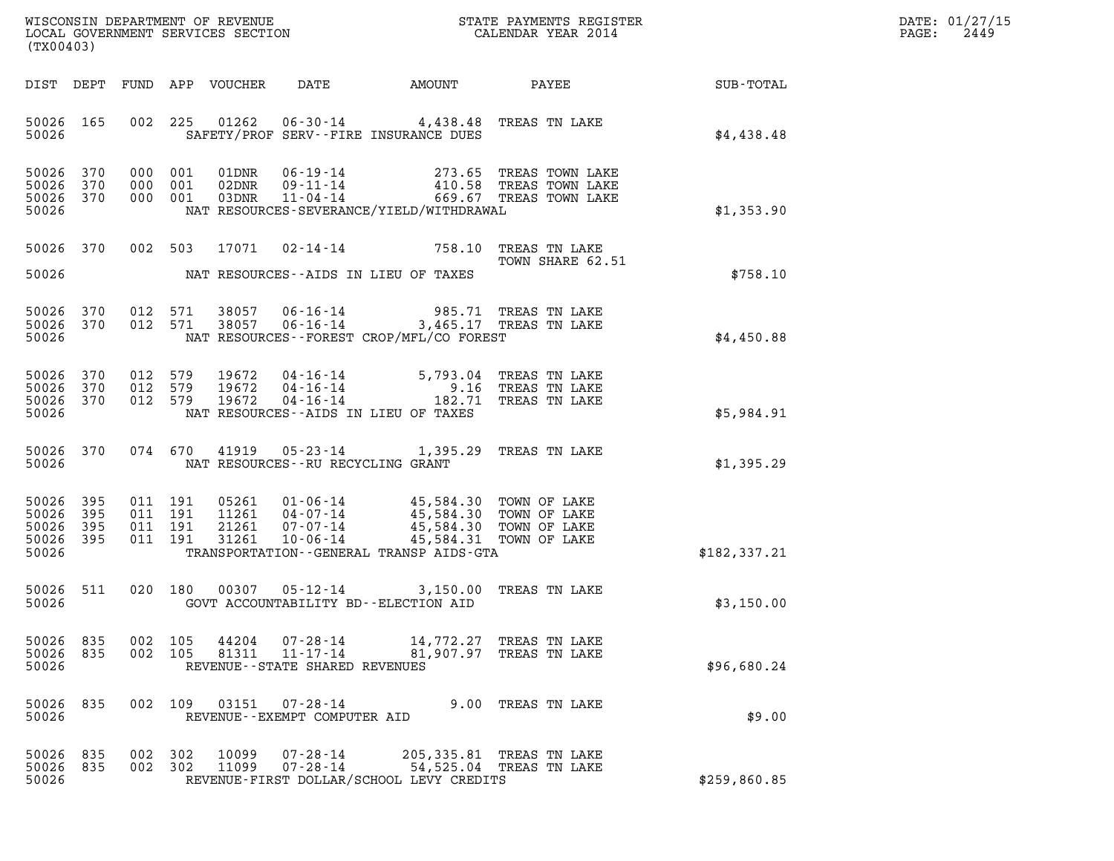| DATE: | 01/27/15 |
|-------|----------|
| PAGE: | 2449     |

| %WISCONSIN DEPARTMENT OF REVENUE $$\tt STATE$ PAYMENTS REGISTER LOCAL GOVERNMENT SERVICES SECTION $$\tt CALEINDAR$ YEAR 2014<br>(TX00403) |                   |         |                                          |                         |                                                                 |                                                                                                                                                                                                                       |                                                                                                       |               | DATE: 01/27/15<br>2449<br>$\mathtt{PAGE}$ : |
|-------------------------------------------------------------------------------------------------------------------------------------------|-------------------|---------|------------------------------------------|-------------------------|-----------------------------------------------------------------|-----------------------------------------------------------------------------------------------------------------------------------------------------------------------------------------------------------------------|-------------------------------------------------------------------------------------------------------|---------------|---------------------------------------------|
|                                                                                                                                           | DIST DEPT         |         |                                          | FUND APP VOUCHER        | DATE                                                            |                                                                                                                                                                                                                       |                                                                                                       |               |                                             |
| 50026 165<br>50026                                                                                                                        |                   |         | 002 225                                  |                         |                                                                 | 01262  06-30-14  4,438.48  TREAS TN LAKE<br>SAFETY/PROF SERV--FIRE INSURANCE DUES                                                                                                                                     |                                                                                                       | \$4,438.48    |                                             |
| 50026<br>50026<br>50026 370<br>50026                                                                                                      | 370<br>370        | 000     | 000 001<br>001<br>000 001                | 01DNR<br>02DNR<br>03DNR |                                                                 | NAT RESOURCES-SEVERANCE/YIELD/WITHDRAWAL                                                                                                                                                                              | 06-19-14 273.65 TREAS TOWN LAKE<br>09-11-14 410.58 TREAS TOWN LAKE<br>11-04-14 669.67 TREAS TOWN LAKE | \$1,353.90    |                                             |
|                                                                                                                                           | 50026 370         |         |                                          |                         |                                                                 | 002 503 17071 02-14-14 758.10 TREAS TN LAKE                                                                                                                                                                           | TOWN SHARE 62.51                                                                                      |               |                                             |
| 50026                                                                                                                                     |                   |         |                                          |                         |                                                                 | NAT RESOURCES--AIDS IN LIEU OF TAXES                                                                                                                                                                                  |                                                                                                       | \$758.10      |                                             |
| 50026<br>50026 370<br>50026                                                                                                               | 370               |         | 012 571<br>012 571                       |                         |                                                                 | 38057  06-16-14  985.71  TREAS TN LAKE<br>38057  06-16-14  3,465.17  TREAS TN LAKE<br>NAT RESOURCES--FOREST CROP/MFL/CO FOREST                                                                                        |                                                                                                       | \$4,450.88    |                                             |
| 50026 370<br>50026<br>50026 370<br>50026                                                                                                  | 370               | 012 579 | 012 579<br>012 579                       |                         |                                                                 | 19672   04-16-14   5,793.04 TREAS TN LAKE<br>19672   04-16-14   9.16 TREAS TN LAKE<br>19672   04-16-14   182.71 TREAS TN LAKE<br>NAT RESOURCES--AIDS IN LIEU OF TAXES                                                 |                                                                                                       | \$5,984.91    |                                             |
| 50026                                                                                                                                     | 50026 370         |         | 074 670                                  |                         | NAT RESOURCES - - RU RECYCLING GRANT                            | 41919  05-23-14  1,395.29  TREAS TN LAKE                                                                                                                                                                              |                                                                                                       | \$1,395.29    |                                             |
| 50026<br>50026<br>50026<br>50026 395<br>50026                                                                                             | 395<br>395<br>395 |         | 011 191<br>011 191<br>011 191<br>011 191 |                         |                                                                 | 05261  01-06-14  45,584.30  TOWN OF LAKE<br>11261  04-07-14  45,584.30  TOWN OF LAKE<br>21261  07-07-14  45,584.30 TOWN OF LAKE<br>31261  10-06-14  45,584.31 TOWN OF LAKE<br>TRANSPORTATION--GENERAL TRANSP AIDS-GTA |                                                                                                       | \$182, 337.21 |                                             |
| 50026 511<br>50026                                                                                                                        |                   |         | 020 180                                  |                         |                                                                 | 00307  05-12-14  3,150.00  TREAS TN LAKE<br>GOVT ACCOUNTABILITY BD--ELECTION AID                                                                                                                                      |                                                                                                       | \$3,150.00    |                                             |
| 50026<br>50026 835<br>50026                                                                                                               | 835               |         | 002 105<br>002 105                       | 44204<br>81311          | 07-28-14<br>$11 - 17 - 14$<br>REVENUE - - STATE SHARED REVENUES |                                                                                                                                                                                                                       | 14,772.27 TREAS TN LAKE<br>81,907.97 TREAS TN LAKE                                                    | \$96,680.24   |                                             |
| 50026<br>50026                                                                                                                            | 835               | 002     | 109                                      | 03151                   | 07-28-14<br>REVENUE--EXEMPT COMPUTER AID                        |                                                                                                                                                                                                                       | 9.00 TREAS TN LAKE                                                                                    | \$9.00        |                                             |
| 50026<br>50026<br>50026                                                                                                                   | 835<br>835        |         | 002 302<br>002 302                       | 10099<br>11099          | $07 - 28 - 14$<br>$07 - 28 - 14$                                | REVENUE-FIRST DOLLAR/SCHOOL LEVY CREDITS                                                                                                                                                                              | 205,335.81 TREAS TN LAKE<br>54,525.04 TREAS TN LAKE                                                   | \$259,860.85  |                                             |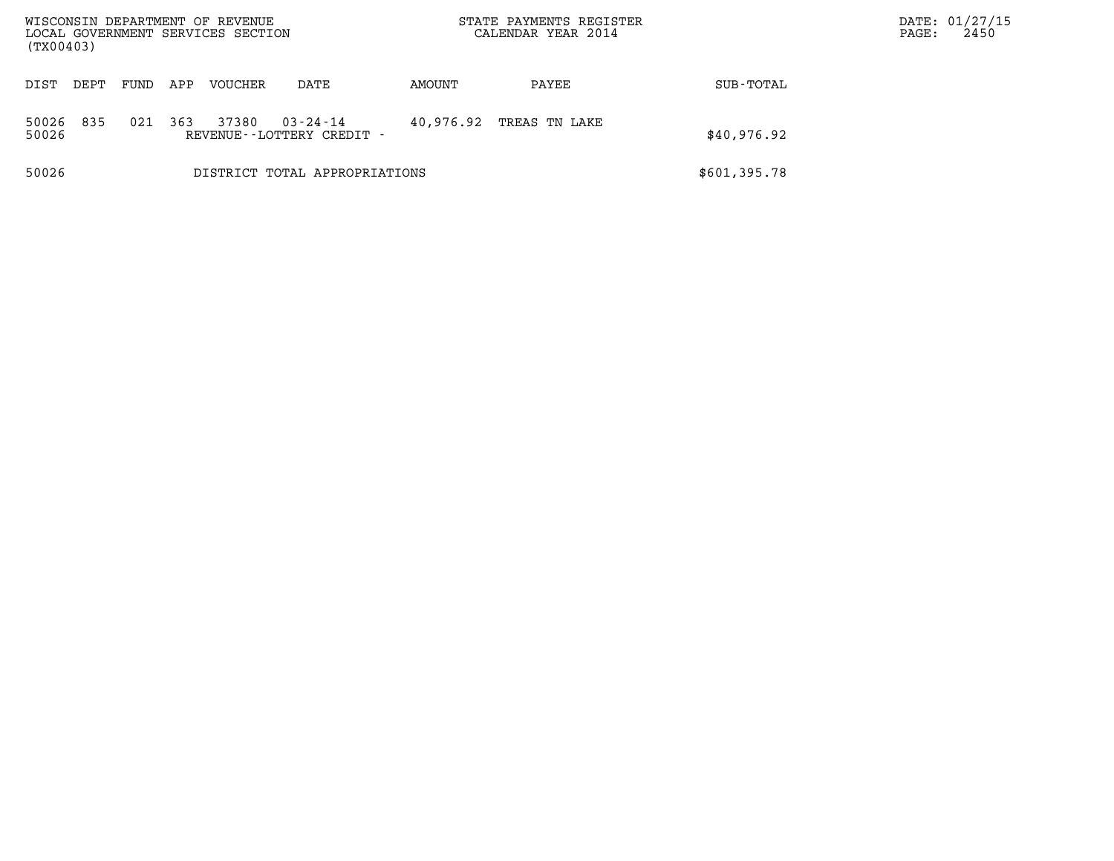| WISCONSIN DEPARTMENT OF REVENUE<br>LOCAL GOVERNMENT SERVICES SECTION<br>(TX00403) |      |      |     |         |                                                |           | STATE PAYMENTS REGISTER<br>CALENDAR YEAR 2014 |              | DATE: 01/27/15<br>PAGE: | 2450 |
|-----------------------------------------------------------------------------------|------|------|-----|---------|------------------------------------------------|-----------|-----------------------------------------------|--------------|-------------------------|------|
| DIST                                                                              | DEPT | FUND | APP | VOUCHER | DATE                                           | AMOUNT    | PAYEE                                         | SUB-TOTAL    |                         |      |
| 50026<br>50026                                                                    | 835  | 021  | 363 | 37380   | $03 - 24 - 14$<br>REVENUE - - LOTTERY CREDIT - | 40,976.92 | TREAS TN LAKE                                 | \$40,976.92  |                         |      |
| 50026                                                                             |      |      |     |         | DISTRICT TOTAL APPROPRIATIONS                  |           |                                               | \$601,395.78 |                         |      |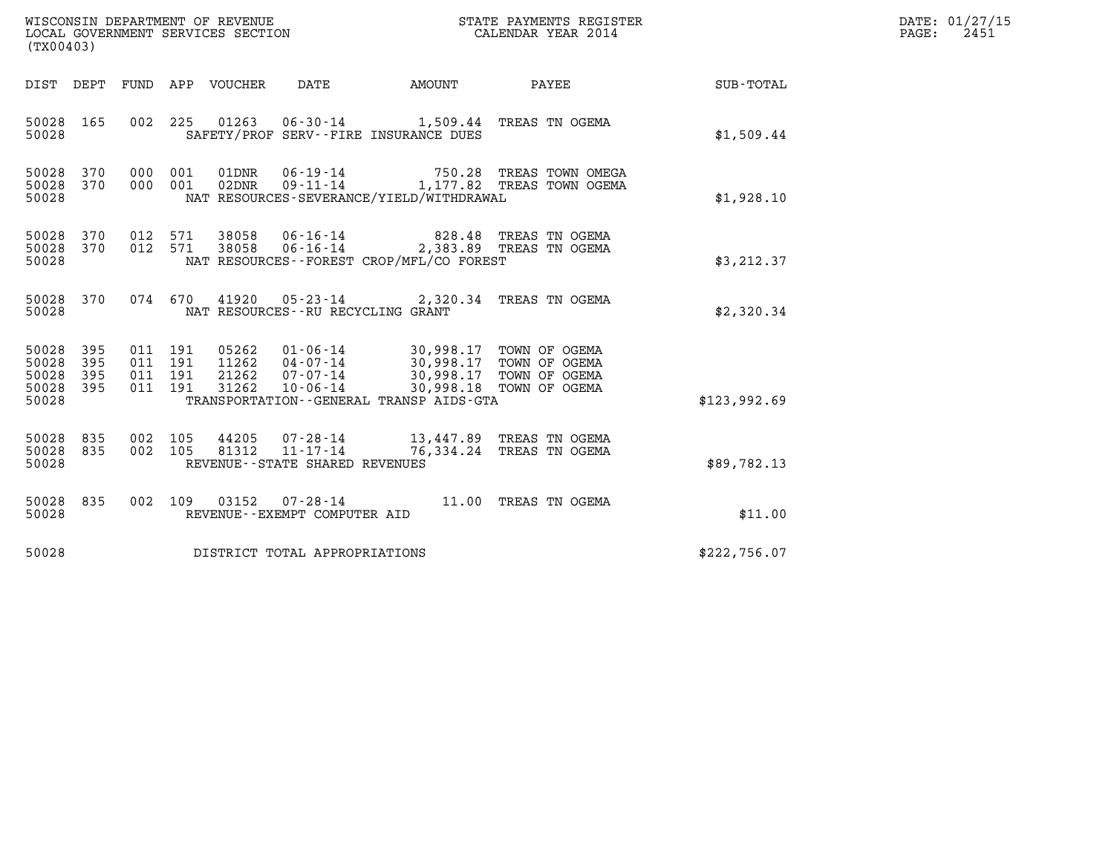| WISCONSIN DEPARTMENT OF REVENUE<br>LOCAL GOVERNMENT SERVICES SECTION<br>(TX00403) |                          |                                          |         |                                 |                                                                       |                                                                                                                                                                       | STATE PAYMENTS REGISTER<br>CALENDAR YEAR 2014                                   |              | DATE: 01/27/15<br>$\mathtt{PAGE:}$<br>2451 |
|-----------------------------------------------------------------------------------|--------------------------|------------------------------------------|---------|---------------------------------|-----------------------------------------------------------------------|-----------------------------------------------------------------------------------------------------------------------------------------------------------------------|---------------------------------------------------------------------------------|--------------|--------------------------------------------|
|                                                                                   |                          |                                          |         | DIST DEPT FUND APP VOUCHER DATE |                                                                       | <b>AMOUNT</b>                                                                                                                                                         | <b>PAYEE</b>                                                                    | SUB-TOTAL    |                                            |
| 50028 165<br>50028                                                                |                          |                                          |         |                                 |                                                                       | 002 225 01263 06-30-14 1,509.44 TREAS TN OGEMA<br>SAFETY/PROF SERV--FIRE INSURANCE DUES                                                                               |                                                                                 | \$1,509.44   |                                            |
| 50028<br>50028<br>50028                                                           | 370<br>370               | 000 001<br>000 001                       |         | 02DNR                           |                                                                       | NAT RESOURCES-SEVERANCE/YIELD/WITHDRAWAL                                                                                                                              | 01DNR  06-19-14  750.28  TREAS TOWN OMEGA<br>09-11-14 1,177.82 TREAS TOWN OGEMA | \$1,928.10   |                                            |
| 50028 370<br>50028 370<br>50028                                                   |                          | 012 571<br>012 571                       |         | 38058<br>38058                  |                                                                       | 06-16-14 828.48 TREAS TN OGEMA<br>06-16-14 2,383.89 TREAS TN OGEMA<br>NAT RESOURCES--FOREST CROP/MFL/CO FOREST                                                        |                                                                                 | \$3, 212.37  |                                            |
| 50028 370<br>50028                                                                |                          |                                          | 074 670 |                                 | NAT RESOURCES - - RU RECYCLING GRANT                                  | 41920  05-23-14  2,320.34  TREAS TN OGEMA                                                                                                                             |                                                                                 | \$2,320.34   |                                            |
| 50028<br>50028<br>50028<br>50028<br>50028                                         | 395<br>395<br>395<br>395 | 011 191<br>011 191<br>011 191<br>011 191 |         | 31262                           | $10 - 06 - 14$                                                        | 05262 01-06-14 30,998.17 TOWN OF OGEMA<br>11262 04-07-14 30,998.17 TOWN OF OGEMA<br>21262 07-07-14 30,998.17 TOWN OF OGEMA<br>TRANSPORTATION--GENERAL TRANSP AIDS-GTA | 30,998.18 TOWN OF OGEMA                                                         | \$123,992.69 |                                            |
| 50028<br>50028 835<br>50028                                                       | 835                      | 002 105<br>002 105                       |         | 44205<br>81312                  | $07 - 28 - 14$<br>$11 - 17 - 14$<br>REVENUE - - STATE SHARED REVENUES |                                                                                                                                                                       | 13,447.89 TREAS TN OGEMA<br>76,334.24 TREAS TN OGEMA                            | \$89,782.13  |                                            |
| 50028 835<br>50028                                                                |                          | 002 109                                  |         |                                 | REVENUE--EXEMPT COMPUTER AID                                          | 03152  07-28-14  11.00 TREAS TN OGEMA                                                                                                                                 |                                                                                 | \$11.00      |                                            |
| 50028                                                                             |                          |                                          |         |                                 | DISTRICT TOTAL APPROPRIATIONS                                         |                                                                                                                                                                       |                                                                                 | \$222,756.07 |                                            |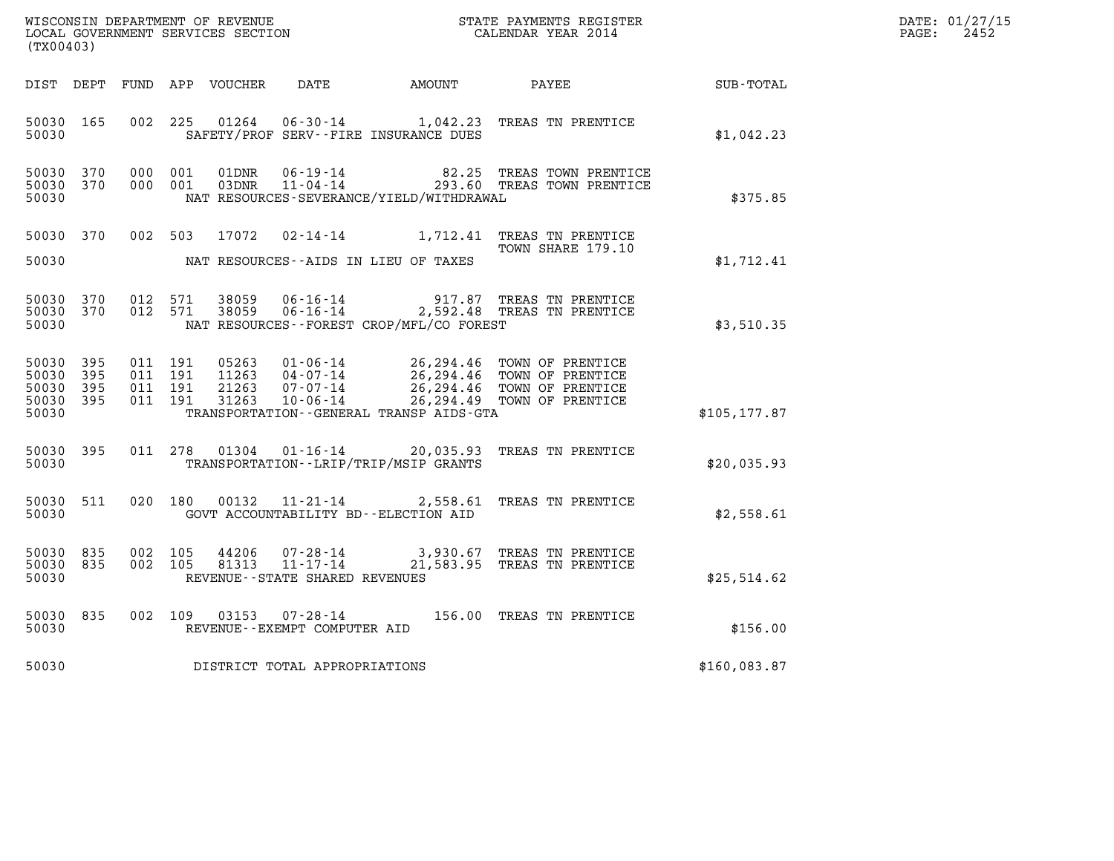| WISCONSIN DEPARTMENT OF REVENUE   | STATE PAYMENTS REGISTER | DATE: 01/27/15 |
|-----------------------------------|-------------------------|----------------|
| LOCAL GOVERNMENT SERVICES SECTION | CALENDAR YEAR 2014      | 2452<br>PAGE:  |

| (TX00403)                                             |     |  |                                          |                |                                |                                              |                                                                                                                                                                                              |               | DATE: 01/27/15<br>PAGE:<br>2452 |
|-------------------------------------------------------|-----|--|------------------------------------------|----------------|--------------------------------|----------------------------------------------|----------------------------------------------------------------------------------------------------------------------------------------------------------------------------------------------|---------------|---------------------------------|
|                                                       |     |  |                                          |                |                                | DIST DEPT FUND APP VOUCHER DATE AMOUNT PAYEE |                                                                                                                                                                                              | SUB-TOTAL     |                                 |
| 50030 165<br>50030                                    |     |  |                                          |                |                                | SAFETY/PROF SERV--FIRE INSURANCE DUES        | 002 225 01264 06-30-14 1,042.23 TREAS TN PRENTICE                                                                                                                                            | \$1,042.23    |                                 |
| 50030 370<br>50030 370<br>50030                       |     |  | 000 001<br>000 001                       | 01DNR<br>03DNR |                                | NAT RESOURCES-SEVERANCE/YIELD/WITHDRAWAL     | 06-19-14 62.25 TREAS TOWN PRENTICE<br>11-04-14 293.60 TREAS TOWN PRENTICE                                                                                                                    | \$375.85      |                                 |
| 50030 370<br>50030                                    |     |  | 002 503                                  | 17072          |                                | NAT RESOURCES--AIDS IN LIEU OF TAXES         | 02-14-14 1,712.41 TREAS TN PRENTICE<br>TOWN SHARE 179.10                                                                                                                                     | \$1,712.41    |                                 |
| 50030 370<br>50030 370<br>50030                       |     |  | 012 571<br>012 571                       |                |                                | NAT RESOURCES--FOREST CROP/MFL/CO FOREST     |                                                                                                                                                                                              | \$3,510.35    |                                 |
| 50030 395<br>50030<br>50030 395<br>50030 395<br>50030 | 395 |  | 011 191<br>011 191<br>011 191<br>011 191 |                |                                | TRANSPORTATION--GENERAL TRANSP AIDS-GTA      | 05263  01-06-14  26,294.46  TOWN OF PRENTICE<br>11263  04-07-14  26,294.46  TOWN OF PRENTICE<br>21263  07-07-14  26,294.46  TOWN OF PRENTICE<br>31263  10-06-14  26,294.49  TOWN OF PRENTICE | \$105, 177.87 |                                 |
| 50030 395<br>50030                                    |     |  |                                          | 011 278 01304  |                                | TRANSPORTATION - - LRIP/TRIP/MSIP GRANTS     | 01-16-14 20,035.93 TREAS TN PRENTICE                                                                                                                                                         | \$20,035.93   |                                 |
| 50030 511<br>50030                                    |     |  |                                          |                |                                | GOVT ACCOUNTABILITY BD--ELECTION AID         | 020 180 00132 11-21-14 2,558.61 TREAS TN PRENTICE                                                                                                                                            | \$2,558.61    |                                 |
| 50030 835<br>50030 835<br>50030                       |     |  | 002 105<br>002 105                       |                | REVENUE--STATE SHARED REVENUES |                                              | 44206  07-28-14  3,930.67  TREAS TN PRENTICE<br>81313  11-17-14  21,583.95  TREAS TN PRENTICE                                                                                                | \$25,514.62   |                                 |
| 50030<br>50030                                        | 835 |  | 002 109                                  | 03153          | REVENUE--EXEMPT COMPUTER AID   |                                              | 07-28-14 156.00 TREAS TN PRENTICE                                                                                                                                                            | \$156.00      |                                 |
| 50030                                                 |     |  |                                          |                | DISTRICT TOTAL APPROPRIATIONS  |                                              |                                                                                                                                                                                              | \$160,083.87  |                                 |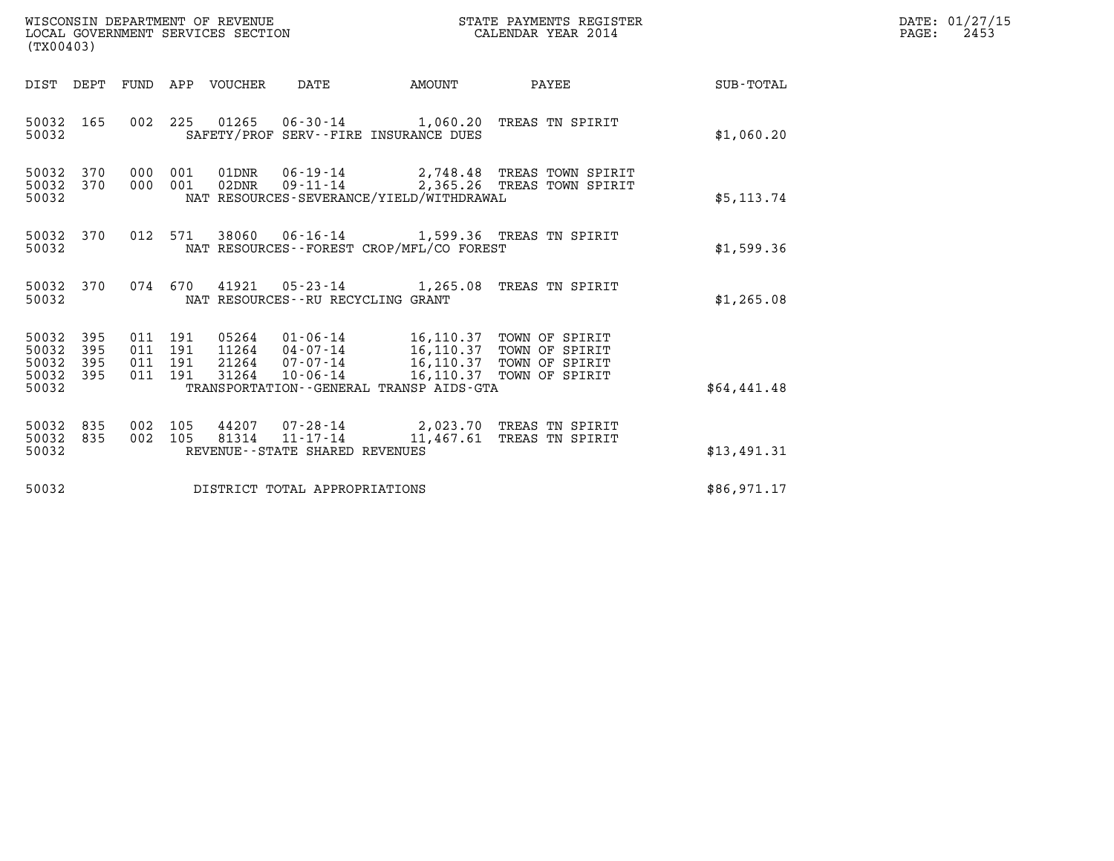| WISCONSIN DEPARTMENT OF REVENUE<br>LOCAL GOVERNMENT SERVICES SECTION | STATE PAYMENTS REGISTER<br>CALENDAR YEAR 2014 | DATE: 01/27/15<br>2453<br>PAGE: |
|----------------------------------------------------------------------|-----------------------------------------------|---------------------------------|

| WISCONSIN DEPARTMENT OF REVENUE<br>LOCAL GOVERNMENT SERVICES SECTION<br>(TX00403) |                   |                    |                    |                            |                                                  |                                                                                                                                                                                                       | STATE PAYMENTS REGISTER<br>CALENDAR YEAR 2014                              |             | DATE: 01/27/15<br>PAGE:<br>2453 |
|-----------------------------------------------------------------------------------|-------------------|--------------------|--------------------|----------------------------|--------------------------------------------------|-------------------------------------------------------------------------------------------------------------------------------------------------------------------------------------------------------|----------------------------------------------------------------------------|-------------|---------------------------------|
|                                                                                   |                   |                    |                    | DIST DEPT FUND APP VOUCHER | DATE                                             | <b>EXAMPLE THE PROPERTY OF AMOUNT</b>                                                                                                                                                                 | PAYEE                                                                      | SUB-TOTAL   |                                 |
| 50032 165<br>50032                                                                |                   | 002                |                    |                            |                                                  | SAFETY/PROF SERV--FIRE INSURANCE DUES                                                                                                                                                                 | 225 01265 06-30-14 1,060.20 TREAS TN SPIRIT                                | \$1,060.20  |                                 |
| 50032<br>50032<br>50032                                                           | 370<br>370        | 000                | 001<br>000 001     | 01DNR<br>02DNR             |                                                  | NAT RESOURCES-SEVERANCE/YIELD/WITHDRAWAL                                                                                                                                                              | 06-19-14 2,748.48 TREAS TOWN SPIRIT<br>09-11-14 2,365.26 TREAS TOWN SPIRIT | \$5,113.74  |                                 |
| 50032<br>50032                                                                    | 370               |                    |                    |                            |                                                  | NAT RESOURCES--FOREST CROP/MFL/CO FOREST                                                                                                                                                              | 012 571 38060 06-16-14 1,599.36 TREAS TN SPIRIT                            | \$1,599.36  |                                 |
| 50032 370<br>50032                                                                |                   |                    |                    |                            | NAT RESOURCES -- RU RECYCLING GRANT              |                                                                                                                                                                                                       | 074 670 41921 05-23-14 1,265.08 TREAS TN SPIRIT                            | \$1,265.08  |                                 |
| 50032<br>50032<br>50032<br>50032 395<br>50032                                     | 395<br>395<br>395 | 011 191<br>011 191 | 011 191<br>011 191 | 05264                      |                                                  | $01 - 06 - 14$ 16, 110.37<br>11264 04-07-14 16,110.37 TOWN OF SPIRIT<br>21264 07-07-14 16,110.37 TOWN OF SPIRIT<br>31264 10-06-14 16,110.37 TOWN OF SPIRIT<br>TRANSPORTATION--GENERAL TRANSP AIDS-GTA | TOWN OF SPIRIT                                                             | \$64,441.48 |                                 |
| 50032<br>50032<br>50032                                                           | 835<br>835        |                    | 002 105<br>002 105 | 44207<br>81314             | $11 - 17 - 14$<br>REVENUE--STATE SHARED REVENUES | 11,467.61                                                                                                                                                                                             | 07-28-14 2,023.70 TREAS TN SPIRIT<br>TREAS TN SPIRIT                       | \$13,491.31 |                                 |
| 50032                                                                             |                   |                    |                    |                            | DISTRICT TOTAL APPROPRIATIONS                    |                                                                                                                                                                                                       |                                                                            | \$86,971.17 |                                 |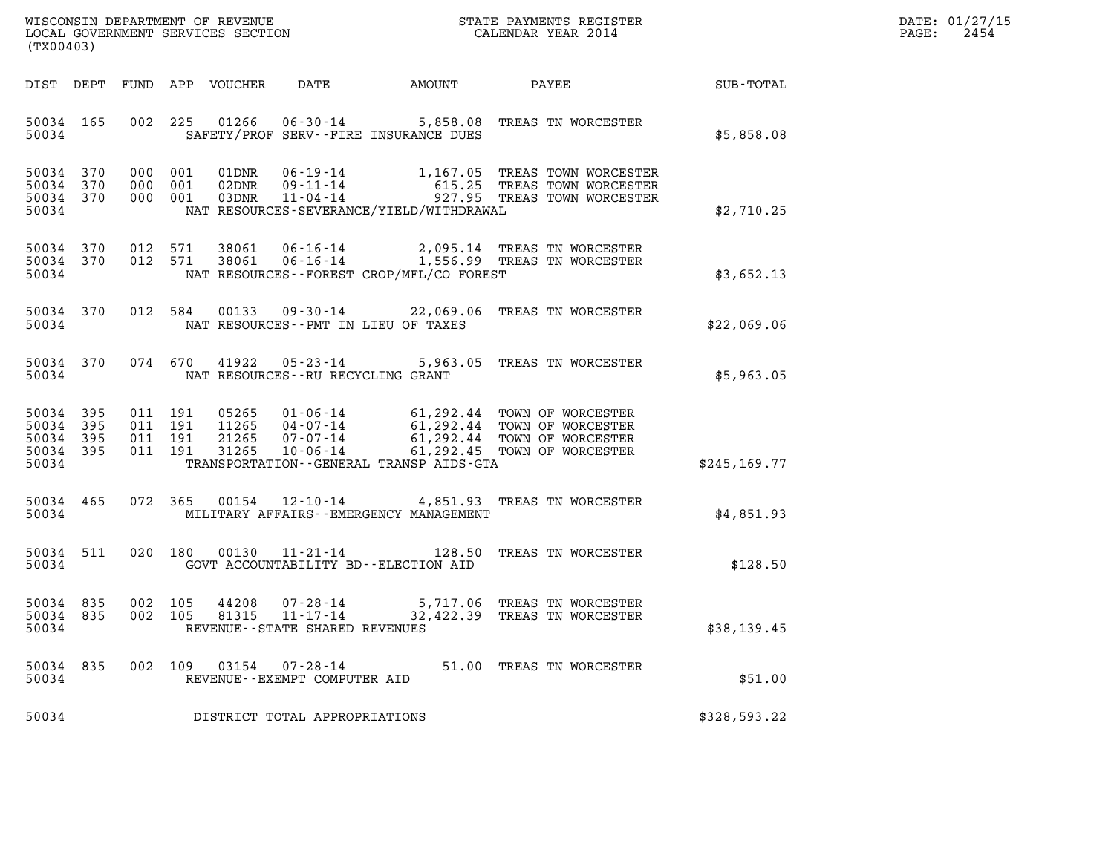| WISCONSIN DEPARTMENT OF REVENUE<br>LOCAL GOVERNMENT SERVICES SECTION | STATE PAYMENTS REGISTER<br>CALENDAR YEAR 2014 | DATE: 01/27/15<br>2454<br>PAGE: |
|----------------------------------------------------------------------|-----------------------------------------------|---------------------------------|

| WISCONSIN DEPARTMENT OF REVENUE<br>STATE PAYMENTS REGISTER<br>LOCAL GOVERNMENT SERVICES SECTION<br>CALENDAR YEAR 2014<br>(TX00403) |                          |                          |                                                              |                                                                       |                                                                                             |                                                                                  |               |
|------------------------------------------------------------------------------------------------------------------------------------|--------------------------|--------------------------|--------------------------------------------------------------|-----------------------------------------------------------------------|---------------------------------------------------------------------------------------------|----------------------------------------------------------------------------------|---------------|
| DIST                                                                                                                               | DEPT                     | FUND                     | <b>VOUCHER</b><br>APP                                        | <b>DATE</b>                                                           | <b>AMOUNT</b>                                                                               | PAYEE                                                                            | SUB-TOTAL     |
| 50034<br>50034                                                                                                                     | 165                      | 002                      | 225<br>01266                                                 | $06 - 30 - 14$                                                        | 5,858.08<br>SAFETY/PROF SERV--FIRE INSURANCE DUES                                           | TREAS TN WORCESTER                                                               | \$5,858.08    |
| 50034<br>50034<br>50034<br>50034                                                                                                   | 370<br>370<br>370        | 000<br>000<br>000        | 001<br>01DNR<br>001<br>02DNR<br>03DNR<br>001                 | $06 - 19 - 14$<br>$09 - 11 - 14$<br>$11 - 04 - 14$                    | 1,167.05<br>615.25<br>927.95<br>NAT RESOURCES-SEVERANCE/YIELD/WITHDRAWAL                    | TREAS TOWN WORCESTER<br>TREAS TOWN WORCESTER<br>TREAS TOWN WORCESTER             | \$2,710.25    |
| 50034<br>50034<br>50034                                                                                                            | 370<br>370               | 012<br>012               | 38061<br>571<br>571<br>38061                                 | $06 - 16 - 14$<br>$06 - 16 - 14$                                      | 2,095.14<br>1,556.99<br>NAT RESOURCES--FOREST CROP/MFL/CO FOREST                            | TREAS TN WORCESTER<br>TREAS TN WORCESTER                                         | \$3,652.13    |
| 50034<br>50034                                                                                                                     | 370                      | 012                      | 584<br>00133                                                 | $09 - 30 - 14$<br>NAT RESOURCES - PMT IN LIEU OF TAXES                | 22,069.06                                                                                   | TREAS TN WORCESTER                                                               | \$22,069.06   |
| 50034<br>50034                                                                                                                     | 370                      | 074                      | 670<br>41922                                                 | $05 - 23 - 14$<br>NAT RESOURCES - - RU RECYCLING GRANT                | 5,963.05                                                                                    | TREAS TN WORCESTER                                                               | \$5,963.05    |
| 50034<br>50034<br>50034<br>50034<br>50034                                                                                          | 395<br>395<br>395<br>395 | 011<br>011<br>011<br>011 | 05265<br>191<br>191<br>11265<br>191<br>21265<br>191<br>31265 | $01 - 06 - 14$<br>$04 - 07 - 14$<br>$07 - 07 - 14$<br>$10 - 06 - 14$  | 61,292.44<br>61,292.44<br>61,292.44<br>61,292.45<br>TRANSPORTATION--GENERAL TRANSP AIDS-GTA | TOWN OF WORCESTER<br>TOWN OF WORCESTER<br>TOWN OF WORCESTER<br>TOWN OF WORCESTER | \$245, 169.77 |
| 50034<br>50034                                                                                                                     | 465                      | 072                      | 00154<br>365                                                 | $12 - 10 - 14$                                                        | 4,851.93<br>MILITARY AFFAIRS - - EMERGENCY MANAGEMENT                                       | TREAS TN WORCESTER                                                               | \$4.851.93    |
| 50034<br>50034                                                                                                                     | 511                      | 020                      | 180<br>00130                                                 | $11 - 21 - 14$                                                        | 128.50<br>GOVT ACCOUNTABILITY BD--ELECTION AID                                              | TREAS TN WORCESTER                                                               | \$128.50      |
| 50034<br>50034<br>50034                                                                                                            | 835<br>835               | 002<br>002               | 105<br>44208<br>105<br>81315                                 | $07 - 28 - 14$<br>$11 - 17 - 14$<br>REVENUE - - STATE SHARED REVENUES | 5,717.06<br>32,422.39                                                                       | TREAS TN WORCESTER<br>TREAS TN WORCESTER                                         | \$38,139.45   |
| 50034<br>50034                                                                                                                     | 835                      | 002                      | 109<br>03154                                                 | $07 - 28 - 14$<br>REVENUE--EXEMPT COMPUTER AID                        | 51.00                                                                                       | TREAS TN WORCESTER                                                               | \$51.00       |
| 50034                                                                                                                              |                          |                          |                                                              | DISTRICT TOTAL APPROPRIATIONS                                         |                                                                                             |                                                                                  | \$328,593.22  |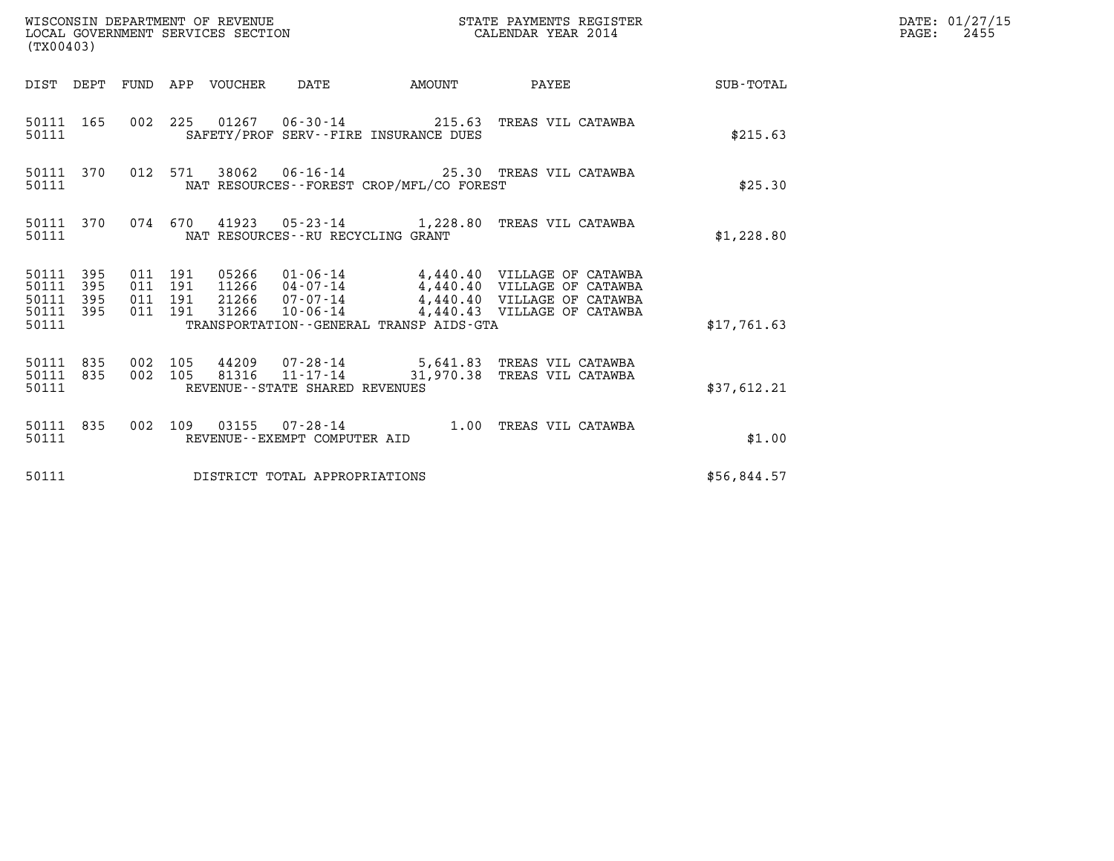| (TX00403)                                         |            |                                          |         |       |                                      |                                          |                                                                                                                                                                                         |                                                    | DATE: 01/27/15<br>$\mathtt{PAGE:}$<br>2455 |
|---------------------------------------------------|------------|------------------------------------------|---------|-------|--------------------------------------|------------------------------------------|-----------------------------------------------------------------------------------------------------------------------------------------------------------------------------------------|----------------------------------------------------|--------------------------------------------|
|                                                   |            |                                          |         |       |                                      |                                          |                                                                                                                                                                                         | DIST DEPT FUND APP VOUCHER DATE AMOUNT PAYEE TOTAL |                                            |
| 50111                                             | 50111 165  |                                          |         |       |                                      | SAFETY/PROF SERV--FIRE INSURANCE DUES    | 002 225 01267 06-30-14 215.63 TREAS VIL CATAWBA                                                                                                                                         | \$215.63                                           |                                            |
| 50111                                             | 50111 370  |                                          |         |       |                                      | NAT RESOURCES--FOREST CROP/MFL/CO FOREST | 012 571 38062 06-16-14 25.30 TREAS VIL CATAWBA                                                                                                                                          | \$25.30                                            |                                            |
| 50111                                             | 50111 370  |                                          |         |       | NAT RESOURCES - - RU RECYCLING GRANT |                                          | 074 670 41923 05-23-14 1,228.80 TREAS VIL CATAWBA                                                                                                                                       | \$1,228.80                                         |                                            |
| 50111 395<br>50111<br>50111<br>50111 395<br>50111 | 395<br>395 | 011 191<br>011 191<br>011 191<br>011 191 |         | 31266 |                                      | TRANSPORTATION--GENERAL TRANSP AIDS-GTA  | 05266  01-06-14  4,440.40  VILLAGE OF CATAWBA<br>11266  04-07-14  4,440.40  VILLAGE OF CATAWBA<br>21266  07-07-14  4,440.40  VILLAGE OF CATAWBA<br>10-06-14 4,440.43 VILLAGE OF CATAWBA | \$17,761.63                                        |                                            |
| 50111 835<br>50111                                | 50111 835  | 002 105                                  | 002 105 |       | REVENUE - - STATE SHARED REVENUES    |                                          | 44209  07-28-14  5,641.83  TREAS VIL CATAWBA<br>81316  11-17-14  31,970.38  TREAS VIL CATAWBA                                                                                           | \$37,612.21                                        |                                            |
| 50111                                             | 50111 835  |                                          |         |       | REVENUE--EXEMPT COMPUTER AID         |                                          | 002 109 03155 07-28-14 1.00 TREAS VIL CATAWBA                                                                                                                                           | \$1.00                                             |                                            |
| 50111                                             |            |                                          |         |       | DISTRICT TOTAL APPROPRIATIONS        |                                          |                                                                                                                                                                                         | \$56,844.57                                        |                                            |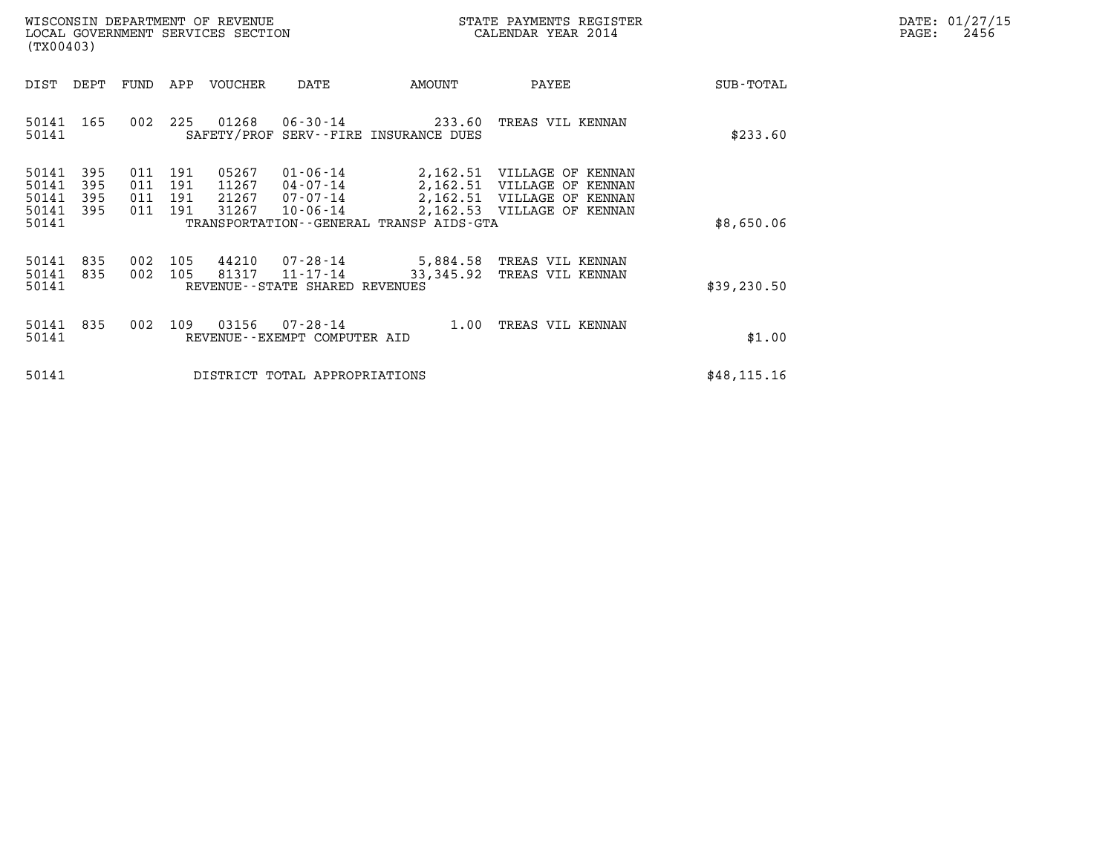| DATE:            | 01/27/15 |
|------------------|----------|
| $\texttt{PAGE:}$ | 2456     |

| WISCONSIN DEPARTMENT OF REVENUE<br>LOCAL GOVERNMENT SERVICES SECTION<br>(TX00403) |                          |                          |                          |                                  |                                                          | STATE PAYMENTS REGISTER<br>CALENDAR YEAR 2014            |                                                                                                                      |              | DATE: 01/27/15<br>$\mathtt{PAGE}$ :<br>2456 |
|-----------------------------------------------------------------------------------|--------------------------|--------------------------|--------------------------|----------------------------------|----------------------------------------------------------|----------------------------------------------------------|----------------------------------------------------------------------------------------------------------------------|--------------|---------------------------------------------|
| DIST                                                                              | DEPT                     | FUND                     | APP                      | VOUCHER                          | DATE                                                     | AMOUNT                                                   | PAYEE                                                                                                                | SUB-TOTAL    |                                             |
| 50141<br>50141                                                                    | 165                      | 002                      | 225                      | 01268                            |                                                          | 06-30-14 233.60<br>SAFETY/PROF SERV--FIRE INSURANCE DUES | TREAS VIL KENNAN                                                                                                     | \$233.60     |                                             |
| 50141<br>50141<br>50141<br>50141<br>50141                                         | 395<br>395<br>395<br>395 | 011<br>011<br>011<br>011 | 191<br>191<br>191<br>191 | 05267<br>11267<br>21267<br>31267 | $01 - 06 - 14$<br>04-07-14<br>07-07-14<br>$10 - 06 - 14$ | TRANSPORTATION - - GENERAL TRANSP AIDS - GTA             | 2,162.51 VILLAGE OF KENNAN<br>2,162.51 VILLAGE OF KENNAN<br>2,162.51 VILLAGE OF KENNAN<br>2,162.53 VILLAGE OF KENNAN | \$8,650.06   |                                             |
| 50141<br>50141<br>50141                                                           | 835<br>835               | 002<br>002               | 105<br>105               | 44210<br>81317                   | 07-28-14<br>11-17-14<br>REVENUE--STATE SHARED REVENUES   | 33,345.92                                                | 5,884.58 TREAS VIL KENNAN<br>TREAS VIL KENNAN                                                                        | \$39,230.50  |                                             |
| 50141<br>50141                                                                    | 835                      | 002                      | 109                      | 03156                            | $07 - 28 - 14$<br>REVENUE--EXEMPT COMPUTER AID           | 1.00                                                     | TREAS VIL KENNAN                                                                                                     | \$1.00       |                                             |
| 50141                                                                             |                          |                          |                          |                                  | DISTRICT TOTAL APPROPRIATIONS                            |                                                          |                                                                                                                      | \$48, 115.16 |                                             |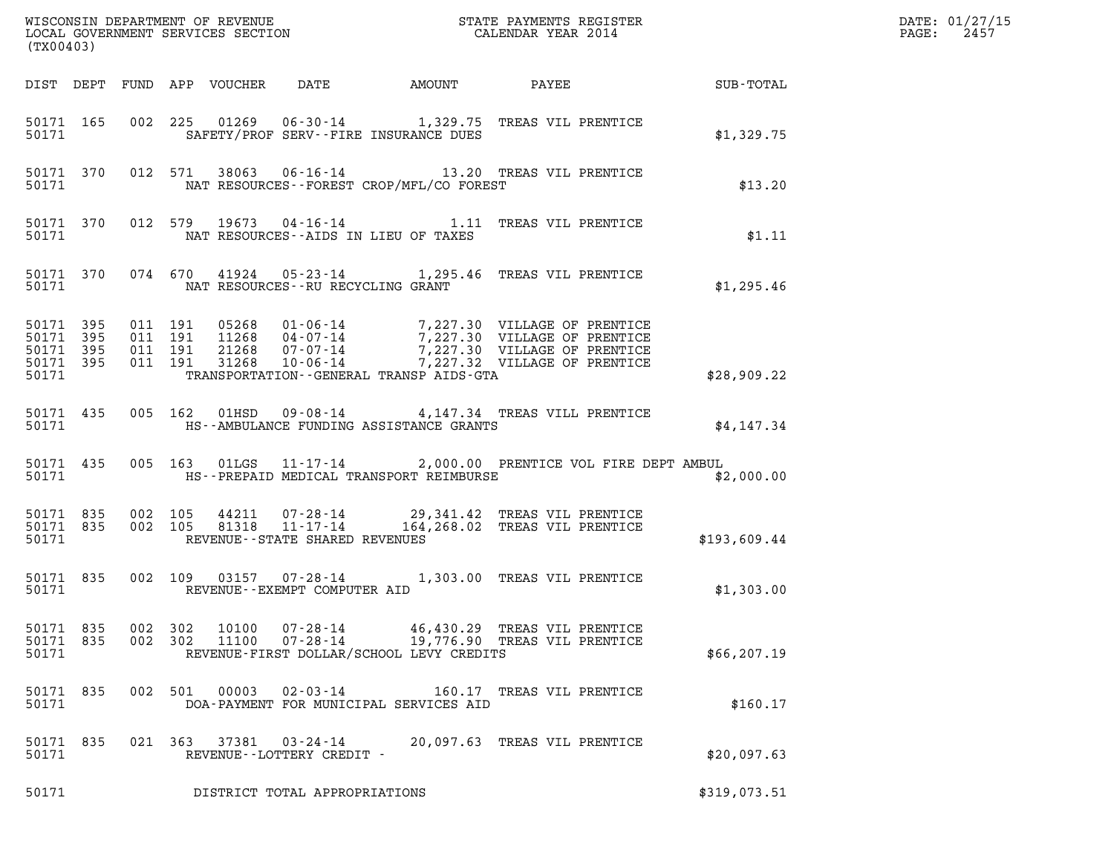| WISCONSIN DEPARTMENT OF REVENUE<br>LOCAL GOVERNMENT SERVICES SECTION GALENDAR YEAR 2014<br>(TX00403) |  |  |                                      |                                             |                                                                                                                                                                                                                                                                     |                              |                                                                            | DATE: 01/27/15<br>2457<br>$\mathtt{PAGE:}$ |
|------------------------------------------------------------------------------------------------------|--|--|--------------------------------------|---------------------------------------------|---------------------------------------------------------------------------------------------------------------------------------------------------------------------------------------------------------------------------------------------------------------------|------------------------------|----------------------------------------------------------------------------|--------------------------------------------|
|                                                                                                      |  |  |                                      |                                             |                                                                                                                                                                                                                                                                     |                              | DIST DEPT FUND APP VOUCHER DATE AMOUNT PAYEE TO SUB-TOTAL                  |                                            |
| 50171 165<br>50171                                                                                   |  |  |                                      |                                             | 002 225 01269 06-30-14 1,329.75 TREAS VIL PRENTICE<br>SAFETY/PROF SERV--FIRE INSURANCE DUES                                                                                                                                                                         |                              | \$1,329.75                                                                 |                                            |
| 50171                                                                                                |  |  |                                      |                                             | 50171 370 012 571 38063 06-16-14 13.20 TREAS VIL PRENTICE<br>NAT RESOURCES--FOREST CROP/MFL/CO FOREST                                                                                                                                                               |                              | \$13.20                                                                    |                                            |
| 50171                                                                                                |  |  |                                      | NAT RESOURCES--AIDS IN LIEU OF TAXES        | 50171 370 012 579 19673 04-16-14 1.11 TREAS VIL PRENTICE                                                                                                                                                                                                            |                              | \$1.11                                                                     |                                            |
| 50171                                                                                                |  |  |                                      | NAT RESOURCES--RU RECYCLING GRANT           | 50171 370 074 670 41924 05-23-14 1,295.46 TREAS VIL PRENTICE                                                                                                                                                                                                        |                              | \$1,295.46                                                                 |                                            |
| 50171 395<br>50171 395<br>50171 395<br>50171 395<br>50171                                            |  |  |                                      |                                             | 011 191 05268 01-06-14 7,227.30 VILLAGE OF PRENTICE<br>011 191 11268 04-07-14 7,227.30 VILLAGE OF PRENTICE<br>011 191 31268 07-07-14 7,227.30 VILLAGE OF PRENTICE<br>011 191 31268 10-06-14 7,227.32 VILLAGE OF PRENTICE<br>TRANSPORTATION--GENERAL TRANSP AIDS-GTA |                              | \$28,909.22                                                                |                                            |
| 50171 435<br>50171                                                                                   |  |  |                                      |                                             | 005 162 01HSD 09-08-14 4,147.34 TREAS VILL PRENTICE<br>HS--AMBULANCE FUNDING ASSISTANCE GRANTS                                                                                                                                                                      |                              | \$4,147.34                                                                 |                                            |
| 50171 435                                                                                            |  |  |                                      |                                             |                                                                                                                                                                                                                                                                     |                              | 005 163 01LGS 11-17-14 2,000.00 PRENTICE VOL FIRE DEPT AMBUL<br>\$2,000.00 |                                            |
| 50171 835<br>50171 835<br>50171                                                                      |  |  |                                      | REVENUE--STATE SHARED REVENUES              | 002 105 44211 07-28-14 29,341.42 TREAS VIL PRENTICE<br>002 105 81318 11-17-14 164,268.02 TREAS VIL PRENTICE                                                                                                                                                         |                              | \$193,609.44                                                               |                                            |
| 50171 835<br>50171                                                                                   |  |  |                                      | REVENUE--EXEMPT COMPUTER AID                | 002 109 03157 07-28-14 1,303.00 TREAS VIL PRENTICE                                                                                                                                                                                                                  |                              | \$1,303.00                                                                 |                                            |
| 50171 835<br>50171 835<br>50171                                                                      |  |  | 002 302<br>10100<br>002 302<br>11100 | 07-28-14                                    | 07-28-14 19,776.90 TREAS VIL PRENTICE<br>REVENUE-FIRST DOLLAR/SCHOOL LEVY CREDITS                                                                                                                                                                                   | 46,430.29 TREAS VIL PRENTICE | \$66, 207.19                                                               |                                            |
| 50171 835<br>50171                                                                                   |  |  | 002 501<br>00003                     | 02-03-14                                    | DOA-PAYMENT FOR MUNICIPAL SERVICES AID                                                                                                                                                                                                                              | 160.17 TREAS VIL PRENTICE    | \$160.17                                                                   |                                            |
| 50171 835<br>50171                                                                                   |  |  | 021 363                              | 37381 03-24-14<br>REVENUE--LOTTERY CREDIT - |                                                                                                                                                                                                                                                                     | 20,097.63 TREAS VIL PRENTICE | \$20,097.63                                                                |                                            |
| 50171                                                                                                |  |  |                                      | DISTRICT TOTAL APPROPRIATIONS               |                                                                                                                                                                                                                                                                     |                              | \$319,073.51                                                               |                                            |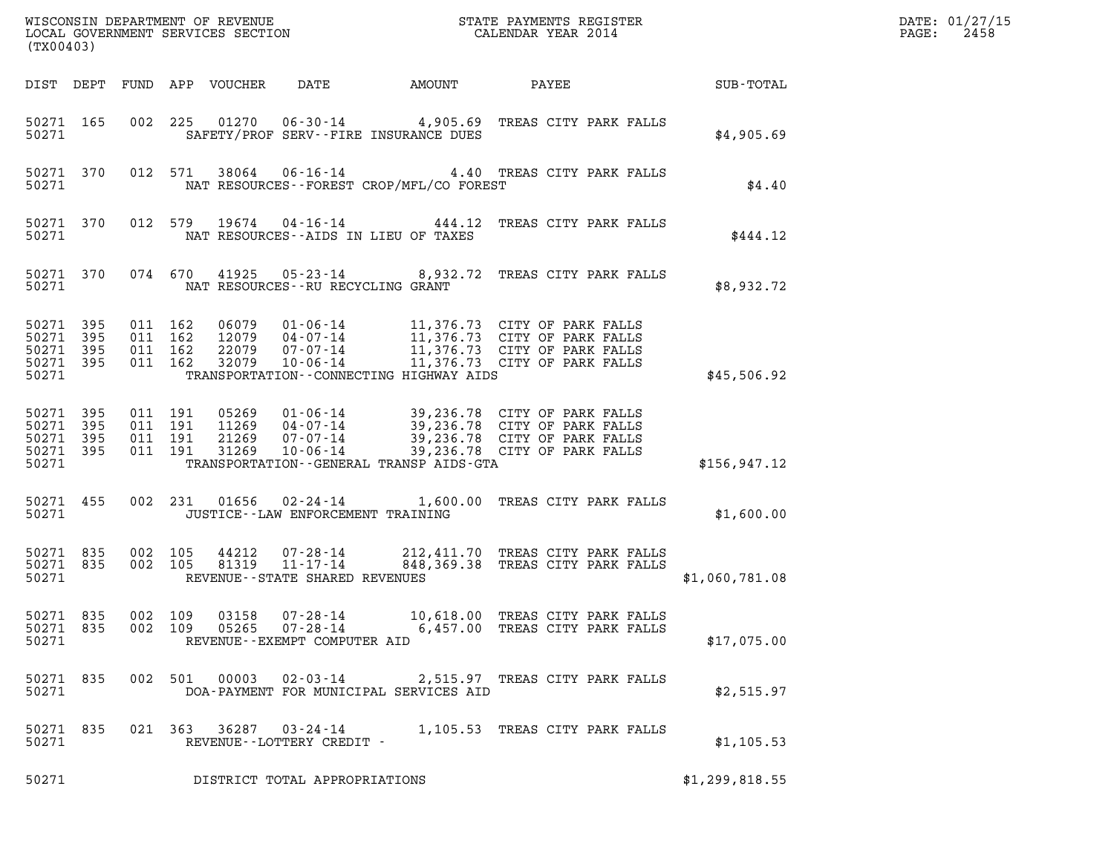| (TX00403)                                                 |                               |                               |                               |                            |                                                                       |                                          |                                                                                                                                                                                                      | DATE: 01/27/15<br>2458<br>$\mathtt{PAGE:}$ |  |
|-----------------------------------------------------------|-------------------------------|-------------------------------|-------------------------------|----------------------------|-----------------------------------------------------------------------|------------------------------------------|------------------------------------------------------------------------------------------------------------------------------------------------------------------------------------------------------|--------------------------------------------|--|
|                                                           |                               |                               |                               | DIST DEPT FUND APP VOUCHER | DATE                                                                  | AMOUNT                                   | PAYEE SUB-TOTAL                                                                                                                                                                                      |                                            |  |
| 50271 165<br>50271                                        |                               |                               |                               |                            |                                                                       | SAFETY/PROF SERV--FIRE INSURANCE DUES    | 002 225 01270 06-30-14 4,905.69 TREAS CITY PARK FALLS                                                                                                                                                | \$4,905.69                                 |  |
| 50271                                                     |                               |                               |                               |                            |                                                                       | NAT RESOURCES--FOREST CROP/MFL/CO FOREST | 50271 370 012 571 38064 06-16-14 4.40 TREAS CITY PARK FALLS                                                                                                                                          | \$4.40                                     |  |
| 50271 370<br>50271                                        |                               |                               |                               |                            |                                                                       | NAT RESOURCES--AIDS IN LIEU OF TAXES     | 012 579 19674 04-16-14 444.12 TREAS CITY PARK FALLS                                                                                                                                                  | \$444.12                                   |  |
| 50271                                                     |                               |                               |                               |                            |                                                                       | NAT RESOURCES--RU RECYCLING GRANT        | 50271 370 074 670 41925 05-23-14 8,932.72 TREAS CITY PARK FALLS                                                                                                                                      | \$8,932.72                                 |  |
| 50271 395<br>50271<br>50271 395<br>50271 395<br>50271     | 395                           | 011 162<br>011 162<br>011 162 | 011 162                       |                            |                                                                       | TRANSPORTATION--CONNECTING HIGHWAY AIDS  | 06079  01-06-14  11,376.73  CITY OF PARK FALLS<br>12079  04-07-14  11,376.73  CITY OF PARK FALLS<br>22079  07-07-14  11,376.73  CITY OF PARK FALLS<br>32079  10-06-14  11,376.73  CITY OF PARK FALLS | \$45,506.92                                |  |
| 50271 395<br>50271 395<br>50271 395<br>50271 395<br>50271 |                               | 011 191                       | 011 191<br>011 191<br>011 191 | 31269                      |                                                                       | TRANSPORTATION--GENERAL TRANSP AIDS-GTA  | 05269 01-06-14 39,236.78 CITY OF PARK FALLS<br>11269 04-07-14 39,236.78 CITY OF PARK FALLS<br>21269 07-07-14 39,236.78 CITY OF PARK FALLS<br>10-06-14 39,236.78 CITY OF PARK FALLS                   | \$156, 947.12                              |  |
| 50271                                                     |                               |                               |                               |                            |                                                                       | JUSTICE--LAW ENFORCEMENT TRAINING        | 50271 455 002 231 01656 02-24-14 1,600.00 TREAS CITY PARK FALLS                                                                                                                                      | \$1,600.00                                 |  |
| 50271 835<br>50271 835<br>50271                           |                               | 002 105<br>002 105            |                               | 81319                      | 44212 07-28-14<br>$11 - 17 - 14$<br>REVENUE - - STATE SHARED REVENUES |                                          | 212,411.70 TREAS CITY PARK FALLS<br>848,369.38 TREAS CITY PARK FALLS                                                                                                                                 | \$1,060,781.08                             |  |
| 50271 835<br>50271 835<br>50271                           |                               | 002 109<br>002 109            |                               | 03158<br>05265             | $07 - 28 - 14$<br>07-28-14<br>REVENUE--EXEMPT COMPUTER AID            |                                          | 10,618.00 TREAS CITY PARK FALLS<br>6,457.00 TREAS CITY PARK FALLS                                                                                                                                    | \$17,075.00                                |  |
| 50271 835<br>50271                                        |                               |                               |                               |                            | 002 501 00003 02-03-14                                                | DOA-PAYMENT FOR MUNICIPAL SERVICES AID   | 2,515.97 TREAS CITY PARK FALLS                                                                                                                                                                       | \$2,515.97                                 |  |
| 50271 835<br>50271                                        |                               |                               |                               |                            | 021 363 36287 03-24-14<br>REVENUE--LOTTERY CREDIT -                   |                                          | 1,105.53 TREAS CITY PARK FALLS                                                                                                                                                                       | \$1,105.53                                 |  |
| 50271                                                     | DISTRICT TOTAL APPROPRIATIONS |                               |                               |                            |                                                                       |                                          |                                                                                                                                                                                                      |                                            |  |